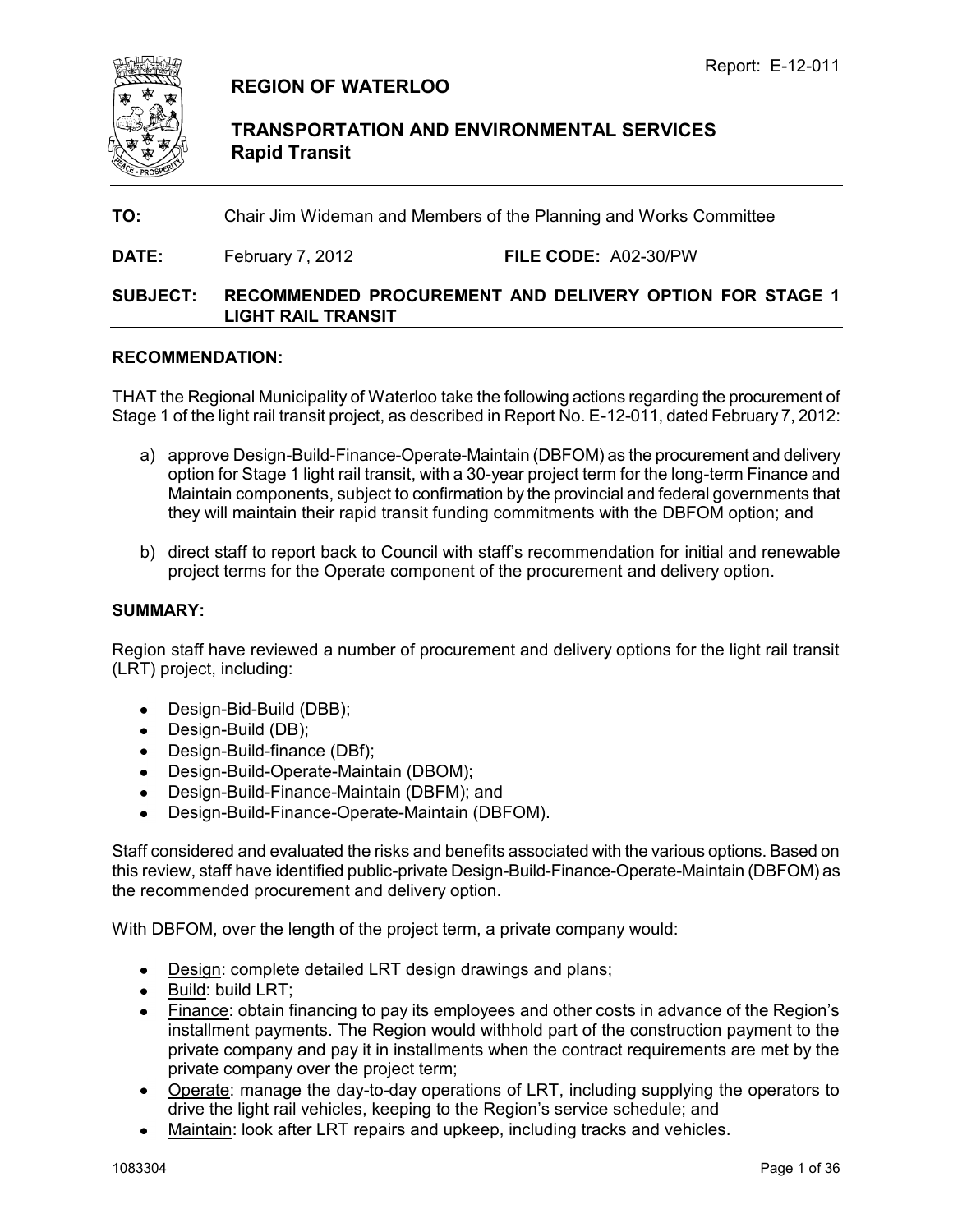

# **REGION OF WATERLOO**

**TRANSPORTATION AND ENVIRONMENTAL SERVICES Rapid Transit**

**TO:** Chair Jim Wideman and Members of the Planning and Works Committee

**DATE:** February 7, 2012 **FILE CODE:** A02-30/PW

### **SUBJECT: RECOMMENDED PROCUREMENT AND DELIVERY OPTION FOR STAGE 1 LIGHT RAIL TRANSIT**

#### **RECOMMENDATION:**

THAT the Regional Municipality of Waterloo take the following actions regarding the procurement of Stage 1 of the light rail transit project, as described in Report No. E-12-011, dated February 7, 2012:

- a) approve Design-Build-Finance-Operate-Maintain (DBFOM) as the procurement and delivery option for Stage 1 light rail transit, with a 30-year project term for the long-term Finance and Maintain components, subject to confirmation by the provincial and federal governments that they will maintain their rapid transit funding commitments with the DBFOM option; and
- b) direct staff to report back to Council with staff"s recommendation for initial and renewable project terms for the Operate component of the procurement and delivery option.

#### **SUMMARY:**

Region staff have reviewed a number of procurement and delivery options for the light rail transit (LRT) project, including:

- Design-Bid-Build (DBB);
- Design-Build (DB);
- Design-Build-finance (DBf);
- Design-Build-Operate-Maintain (DBOM);
- Design-Build-Finance-Maintain (DBFM); and
- Design-Build-Finance-Operate-Maintain (DBFOM).

Staff considered and evaluated the risks and benefits associated with the various options. Based on this review, staff have identified public-private Design-Build-Finance-Operate-Maintain (DBFOM) as the recommended procurement and delivery option.

With DBFOM, over the length of the project term, a private company would:

- Design: complete detailed LRT design drawings and plans;
- Build: build LRT;
- Finance: obtain financing to pay its employees and other costs in advance of the Region's installment payments. The Region would withhold part of the construction payment to the private company and pay it in installments when the contract requirements are met by the private company over the project term;
- Operate: manage the day-to-day operations of LRT, including supplying the operators to drive the light rail vehicles, keeping to the Region"s service schedule; and
- Maintain: look after LRT repairs and upkeep, including tracks and vehicles.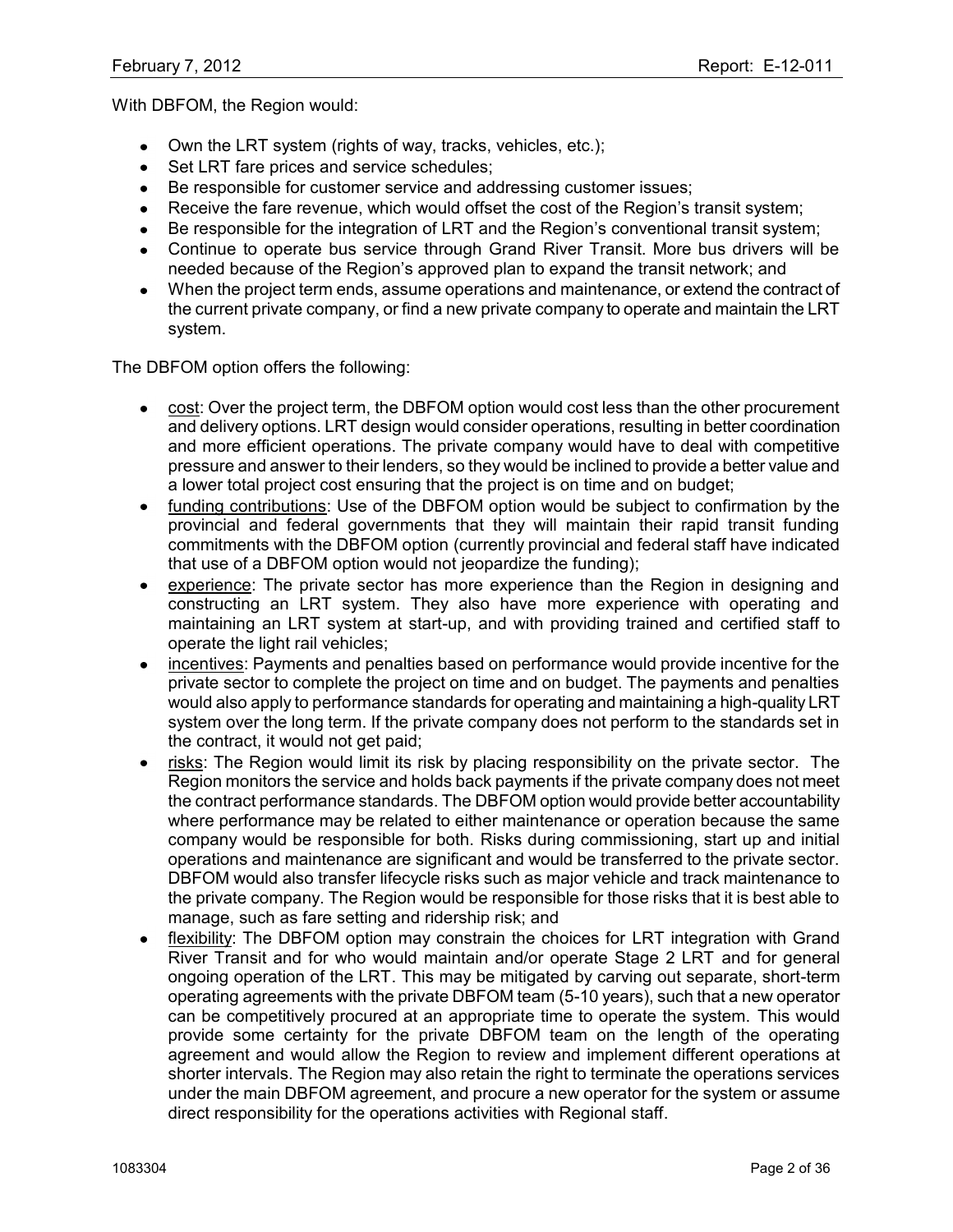With DBFOM, the Region would:

- Own the LRT system (rights of way, tracks, vehicles, etc.);
- Set LRT fare prices and service schedules;
- $\bullet$ Be responsible for customer service and addressing customer issues;
- Receive the fare revenue, which would offset the cost of the Region's transit system;
- Be responsible for the integration of LRT and the Region's conventional transit system;
- Continue to operate bus service through Grand River Transit. More bus drivers will be needed because of the Region"s approved plan to expand the transit network; and
- When the project term ends, assume operations and maintenance, or extend the contract of  $\bullet$ the current private company, or find a new private company to operate and maintain the LRT system.

The DBFOM option offers the following:

- cost: Over the project term, the DBFOM option would cost less than the other procurement  $\bullet$ and delivery options. LRT design would consider operations, resulting in better coordination and more efficient operations. The private company would have to deal with competitive pressure and answer to their lenders, so they would be inclined to provide a better value and a lower total project cost ensuring that the project is on time and on budget;
- funding contributions: Use of the DBFOM option would be subject to confirmation by the provincial and federal governments that they will maintain their rapid transit funding commitments with the DBFOM option (currently provincial and federal staff have indicated that use of a DBFOM option would not jeopardize the funding);
- experience: The private sector has more experience than the Region in designing and constructing an LRT system. They also have more experience with operating and maintaining an LRT system at start-up, and with providing trained and certified staff to operate the light rail vehicles;
- incentives: Payments and penalties based on performance would provide incentive for the private sector to complete the project on time and on budget. The payments and penalties would also apply to performance standards for operating and maintaining a high-quality LRT system over the long term. If the private company does not perform to the standards set in the contract, it would not get paid;
- risks: The Region would limit its risk by placing responsibility on the private sector. The Region monitors the service and holds back payments if the private company does not meet the contract performance standards. The DBFOM option would provide better accountability where performance may be related to either maintenance or operation because the same company would be responsible for both. Risks during commissioning, start up and initial operations and maintenance are significant and would be transferred to the private sector. DBFOM would also transfer lifecycle risks such as major vehicle and track maintenance to the private company. The Region would be responsible for those risks that it is best able to manage, such as fare setting and ridership risk; and
- flexibility: The DBFOM option may constrain the choices for LRT integration with Grand River Transit and for who would maintain and/or operate Stage 2 LRT and for general ongoing operation of the LRT. This may be mitigated by carving out separate, short-term operating agreements with the private DBFOM team (5-10 years), such that a new operator can be competitively procured at an appropriate time to operate the system. This would provide some certainty for the private DBFOM team on the length of the operating agreement and would allow the Region to review and implement different operations at shorter intervals. The Region may also retain the right to terminate the operations services under the main DBFOM agreement, and procure a new operator for the system or assume direct responsibility for the operations activities with Regional staff.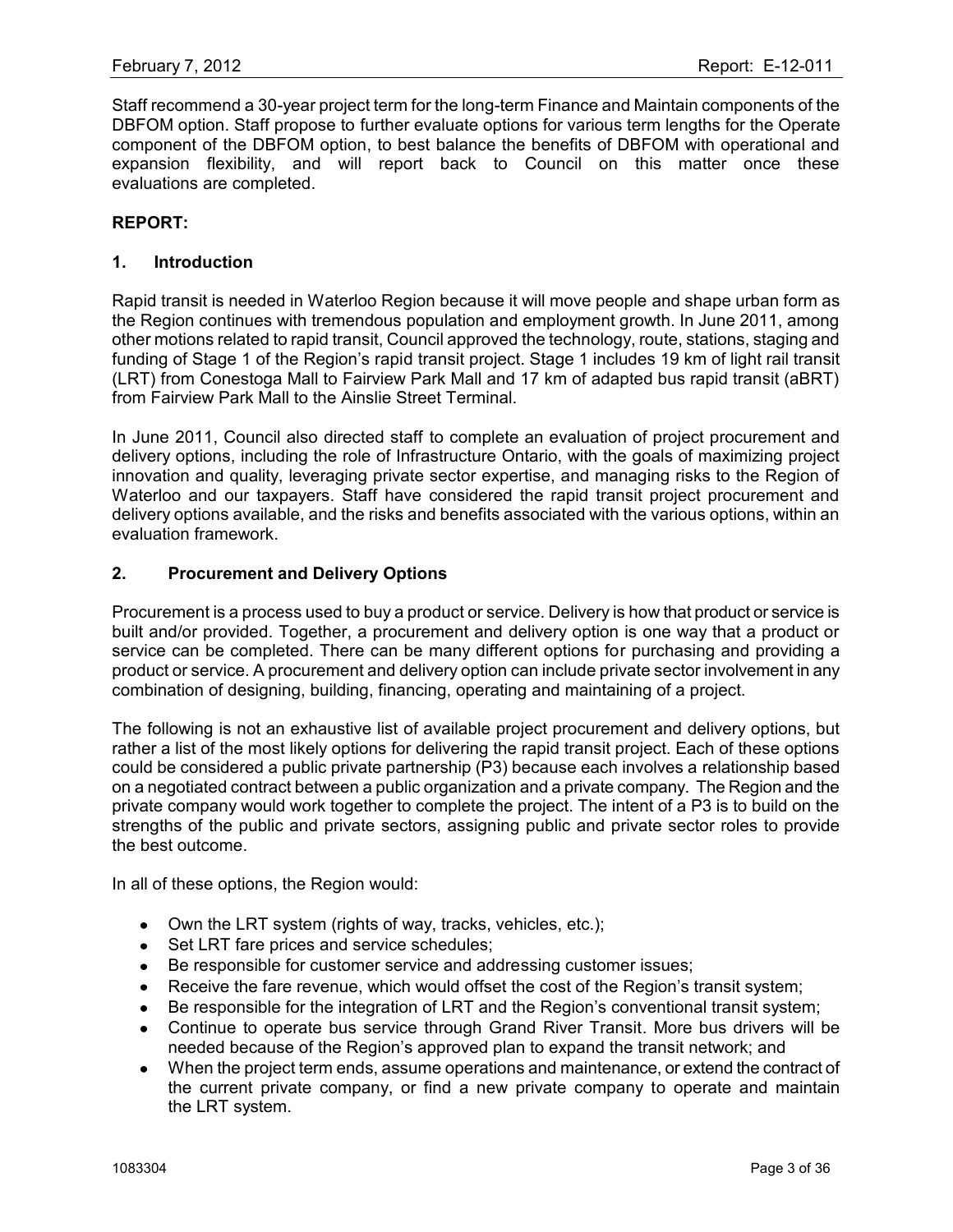Staff recommend a 30-year project term for the long-term Finance and Maintain components of the DBFOM option. Staff propose to further evaluate options for various term lengths for the Operate component of the DBFOM option, to best balance the benefits of DBFOM with operational and expansion flexibility, and will report back to Council on this matter once these evaluations are completed.

#### **REPORT:**

#### **1. Introduction**

Rapid transit is needed in Waterloo Region because it will move people and shape urban form as the Region continues with tremendous population and employment growth. In June 2011, among other motions related to rapid transit, Council approved the technology, route, stations, staging and funding of Stage 1 of the Region's rapid transit project. Stage 1 includes 19 km of light rail transit (LRT) from Conestoga Mall to Fairview Park Mall and 17 km of adapted bus rapid transit (aBRT) from Fairview Park Mall to the Ainslie Street Terminal.

In June 2011, Council also directed staff to complete an evaluation of project procurement and delivery options, including the role of Infrastructure Ontario, with the goals of maximizing project innovation and quality, leveraging private sector expertise, and managing risks to the Region of Waterloo and our taxpayers. Staff have considered the rapid transit project procurement and delivery options available, and the risks and benefits associated with the various options, within an evaluation framework.

#### **2. Procurement and Delivery Options**

Procurement is a process used to buy a product or service. Delivery is how that product or service is built and/or provided. Together, a procurement and delivery option is one way that a product or service can be completed. There can be many different options for purchasing and providing a product or service. A procurement and delivery option can include private sector involvement in any combination of designing, building, financing, operating and maintaining of a project.

The following is not an exhaustive list of available project procurement and delivery options, but rather a list of the most likely options for delivering the rapid transit project. Each of these options could be considered a public private partnership (P3) because each involves a relationship based on a negotiated contract between a public organization and a private company. The Region and the private company would work together to complete the project. The intent of a P3 is to build on the strengths of the public and private sectors, assigning public and private sector roles to provide the best outcome.

In all of these options, the Region would:

- Own the LRT system (rights of way, tracks, vehicles, etc.);
- Set LRT fare prices and service schedules:
- Be responsible for customer service and addressing customer issues;
- Receive the fare revenue, which would offset the cost of the Region's transit system;
- Be responsible for the integration of LRT and the Region's conventional transit system;  $\bullet$
- Continue to operate bus service through Grand River Transit. More bus drivers will be  $\bullet$ needed because of the Region"s approved plan to expand the transit network; and
- When the project term ends, assume operations and maintenance, or extend the contract of  $\bullet$ the current private company, or find a new private company to operate and maintain the LRT system.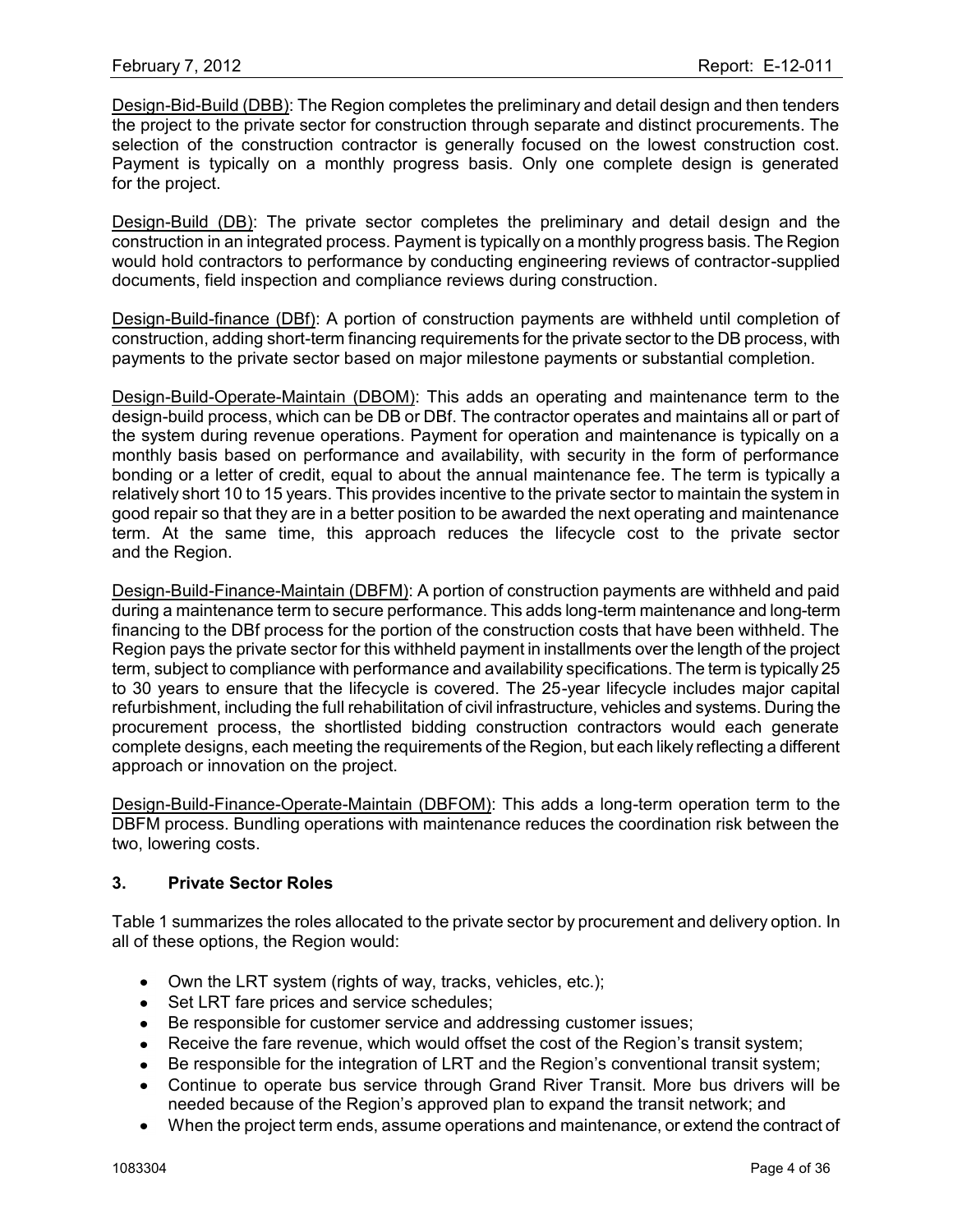Design-Bid-Build (DBB): The Region completes the preliminary and detail design and then tenders the project to the private sector for construction through separate and distinct procurements. The selection of the construction contractor is generally focused on the lowest construction cost. Payment is typically on a monthly progress basis. Only one complete design is generated for the project.

Design-Build (DB): The private sector completes the preliminary and detail design and the construction in an integrated process. Payment is typically on a monthly progress basis. The Region would hold contractors to performance by conducting engineering reviews of contractor-supplied documents, field inspection and compliance reviews during construction.

Design-Build-finance (DBf): A portion of construction payments are withheld until completion of construction, adding short-term financing requirements for the private sector to the DB process, with payments to the private sector based on major milestone payments or substantial completion.

Design-Build-Operate-Maintain (DBOM): This adds an operating and maintenance term to the design-build process, which can be DB or DBf. The contractor operates and maintains all or part of the system during revenue operations. Payment for operation and maintenance is typically on a monthly basis based on performance and availability, with security in the form of performance bonding or a letter of credit, equal to about the annual maintenance fee. The term is typically a relatively short 10 to 15 years. This provides incentive to the private sector to maintain the system in good repair so that they are in a better position to be awarded the next operating and maintenance term. At the same time, this approach reduces the lifecycle cost to the private sector and the Region.

Design-Build-Finance-Maintain (DBFM): A portion of construction payments are withheld and paid during a maintenance term to secure performance. This adds long-term maintenance and long-term financing to the DBf process for the portion of the construction costs that have been withheld. The Region pays the private sector for this withheld payment in installments over the length of the project term, subject to compliance with performance and availability specifications. The term is typically 25 to 30 years to ensure that the lifecycle is covered. The 25-year lifecycle includes major capital refurbishment, including the full rehabilitation of civil infrastructure, vehicles and systems. During the procurement process, the shortlisted bidding construction contractors would each generate complete designs, each meeting the requirements of the Region, but each likely reflecting a different approach or innovation on the project.

Design-Build-Finance-Operate-Maintain (DBFOM): This adds a long-term operation term to the DBFM process. Bundling operations with maintenance reduces the coordination risk between the two, lowering costs.

### **3. Private Sector Roles**

Table 1 summarizes the roles allocated to the private sector by procurement and delivery option. In all of these options, the Region would:

- Own the LRT system (rights of way, tracks, vehicles, etc.);
- Set LRT fare prices and service schedules;
- Be responsible for customer service and addressing customer issues;  $\bullet$
- Receive the fare revenue, which would offset the cost of the Region's transit system;
- Be responsible for the integration of LRT and the Region's conventional transit system;  $\bullet$
- Continue to operate bus service through Grand River Transit. More bus drivers will be needed because of the Region"s approved plan to expand the transit network; and
- When the project term ends, assume operations and maintenance, or extend the contract of  $\bullet$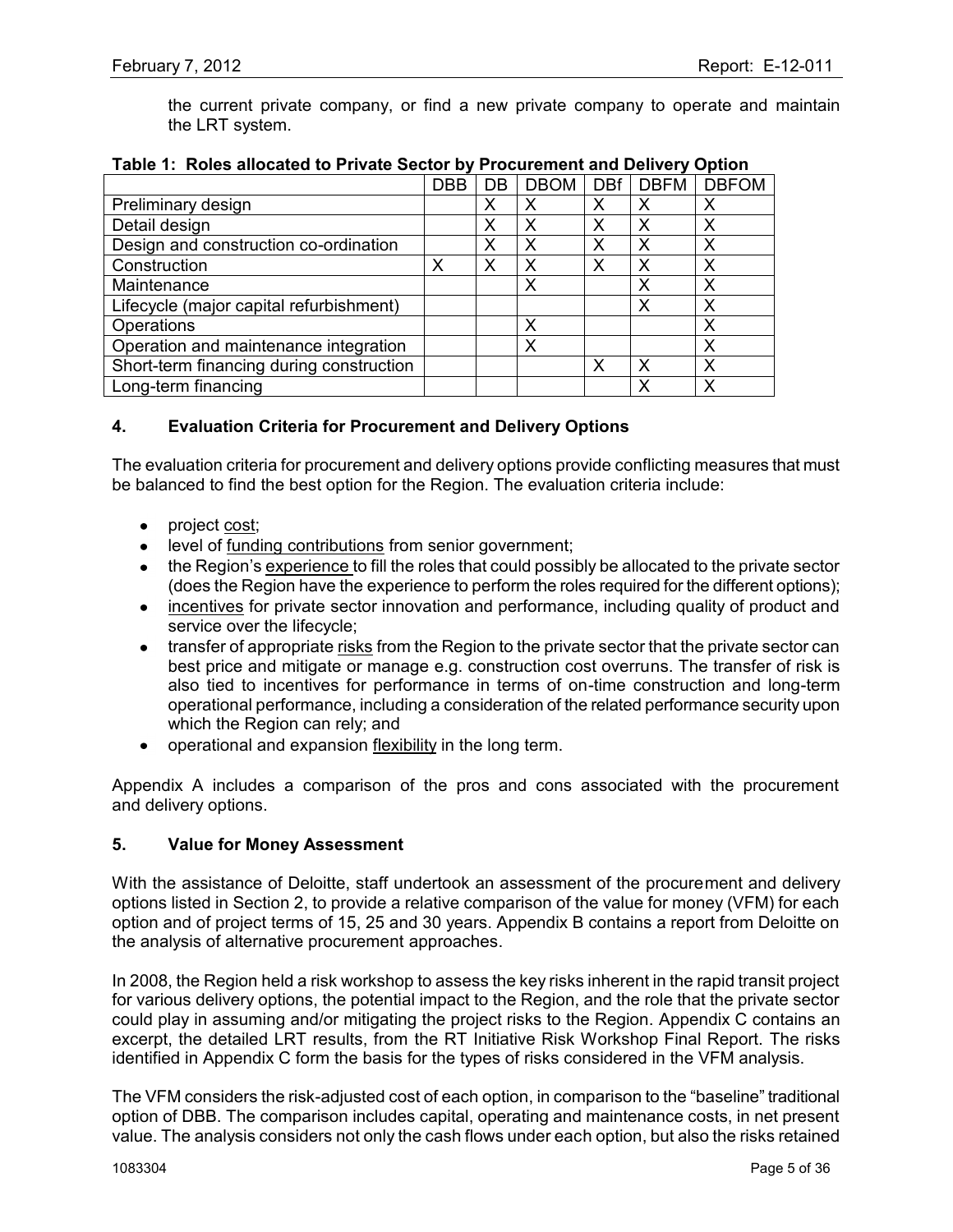the current private company, or find a new private company to operate and maintain the LRT system.

|                                          | <b>DBB</b> | DB | <b>DBOM</b> | <b>DBf</b> | <b>DBFM</b> | <b>DBFOM</b> |
|------------------------------------------|------------|----|-------------|------------|-------------|--------------|
| Preliminary design                       |            | Χ  | Х           | Х          | Χ           | Х            |
| Detail design                            |            | х  | Х           | х          | X           | Х            |
| Design and construction co-ordination    |            | Х  | Х           |            | X           | Х            |
| Construction                             | Χ          | χ  | Х           |            | X           | Χ            |
| Maintenance                              |            |    | Х           |            | Χ           | Χ            |
| Lifecycle (major capital refurbishment)  |            |    |             |            | Χ           | Χ            |
| Operations                               |            |    | Χ           |            |             | Х            |
| Operation and maintenance integration    |            |    | Х           |            |             | Х            |
| Short-term financing during construction |            |    |             | Х          | Χ           | Х            |
| Long-term financing                      |            |    |             |            | χ           | x            |

### **Table 1: Roles allocated to Private Sector by Procurement and Delivery Option**

## **4. Evaluation Criteria for Procurement and Delivery Options**

The evaluation criteria for procurement and delivery options provide conflicting measures that must be balanced to find the best option for the Region. The evaluation criteria include:

- project cost;
- level of funding contributions from senior government;
- the Region's experience to fill the roles that could possibly be allocated to the private sector (does the Region have the experience to perform the roles required for the different options);
- incentives for private sector innovation and performance, including quality of product and service over the lifecycle;
- transfer of appropriate risks from the Region to the private sector that the private sector can best price and mitigate or manage e.g. construction cost overruns. The transfer of risk is also tied to incentives for performance in terms of on-time construction and long-term operational performance, including a consideration of the related performance security upon which the Region can rely; and
- operational and expansion flexibility in the long term.

Appendix A includes a comparison of the pros and cons associated with the procurement and delivery options.

### **5. Value for Money Assessment**

With the assistance of Deloitte, staff undertook an assessment of the procurement and delivery options listed in Section 2, to provide a relative comparison of the value for money (VFM) for each option and of project terms of 15, 25 and 30 years. Appendix B contains a report from Deloitte on the analysis of alternative procurement approaches.

In 2008, the Region held a risk workshop to assess the key risks inherent in the rapid transit project for various delivery options, the potential impact to the Region, and the role that the private sector could play in assuming and/or mitigating the project risks to the Region. Appendix C contains an excerpt, the detailed LRT results, from the RT Initiative Risk Workshop Final Report. The risks identified in Appendix C form the basis for the types of risks considered in the VFM analysis.

The VFM considers the risk-adjusted cost of each option, in comparison to the "baseline" traditional option of DBB. The comparison includes capital, operating and maintenance costs, in net present value. The analysis considers not only the cash flows under each option, but also the risks retained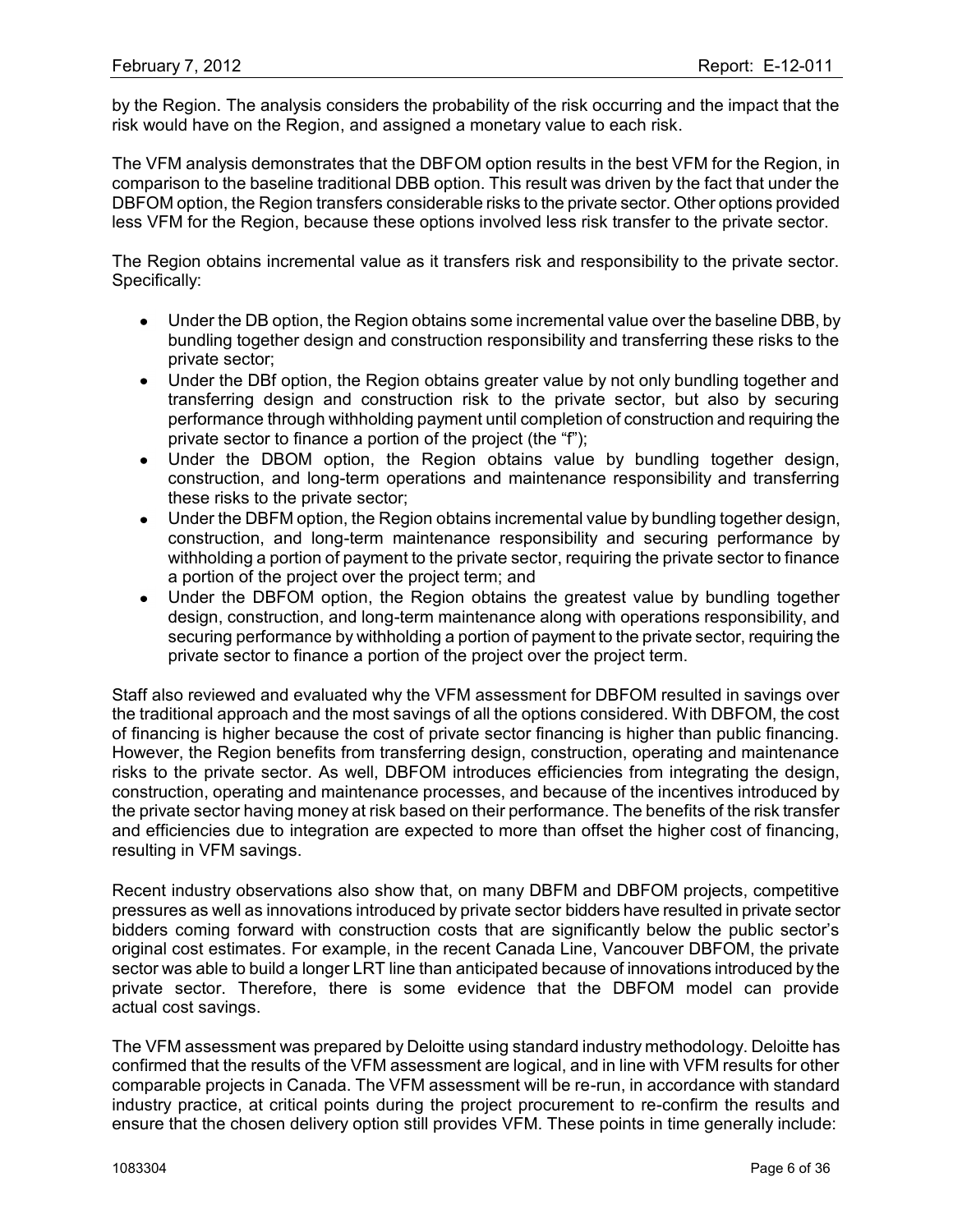by the Region. The analysis considers the probability of the risk occurring and the impact that the risk would have on the Region, and assigned a monetary value to each risk.

The VFM analysis demonstrates that the DBFOM option results in the best VFM for the Region, in comparison to the baseline traditional DBB option. This result was driven by the fact that under the DBFOM option, the Region transfers considerable risks to the private sector. Other options provided less VFM for the Region, because these options involved less risk transfer to the private sector.

The Region obtains incremental value as it transfers risk and responsibility to the private sector. Specifically:

- Under the DB option, the Region obtains some incremental value over the baseline DBB, by bundling together design and construction responsibility and transferring these risks to the private sector;
- Under the DBf option, the Region obtains greater value by not only bundling together and  $\bullet$ transferring design and construction risk to the private sector, but also by securing performance through withholding payment until completion of construction and requiring the private sector to finance a portion of the project (the "f");
- Under the DBOM option, the Region obtains value by bundling together design, construction, and long-term operations and maintenance responsibility and transferring these risks to the private sector;
- Under the DBFM option, the Region obtains incremental value by bundling together design, construction, and long-term maintenance responsibility and securing performance by withholding a portion of payment to the private sector, requiring the private sector to finance a portion of the project over the project term; and
- Under the DBFOM option, the Region obtains the greatest value by bundling together design, construction, and long-term maintenance along with operations responsibility, and securing performance by withholding a portion of payment to the private sector, requiring the private sector to finance a portion of the project over the project term.

Staff also reviewed and evaluated why the VFM assessment for DBFOM resulted in savings over the traditional approach and the most savings of all the options considered. With DBFOM, the cost of financing is higher because the cost of private sector financing is higher than public financing. However, the Region benefits from transferring design, construction, operating and maintenance risks to the private sector. As well, DBFOM introduces efficiencies from integrating the design, construction, operating and maintenance processes, and because of the incentives introduced by the private sector having money at risk based on their performance. The benefits of the risk transfer and efficiencies due to integration are expected to more than offset the higher cost of financing, resulting in VFM savings.

Recent industry observations also show that, on many DBFM and DBFOM projects, competitive pressures as well as innovations introduced by private sector bidders have resulted in private sector bidders coming forward with construction costs that are significantly below the public sector"s original cost estimates. For example, in the recent Canada Line, Vancouver DBFOM, the private sector was able to build a longer LRT line than anticipated because of innovations introduced by the private sector. Therefore, there is some evidence that the DBFOM model can provide actual cost savings.

The VFM assessment was prepared by Deloitte using standard industry methodology. Deloitte has confirmed that the results of the VFM assessment are logical, and in line with VFM results for other comparable projects in Canada. The VFM assessment will be re-run, in accordance with standard industry practice, at critical points during the project procurement to re-confirm the results and ensure that the chosen delivery option still provides VFM. These points in time generally include: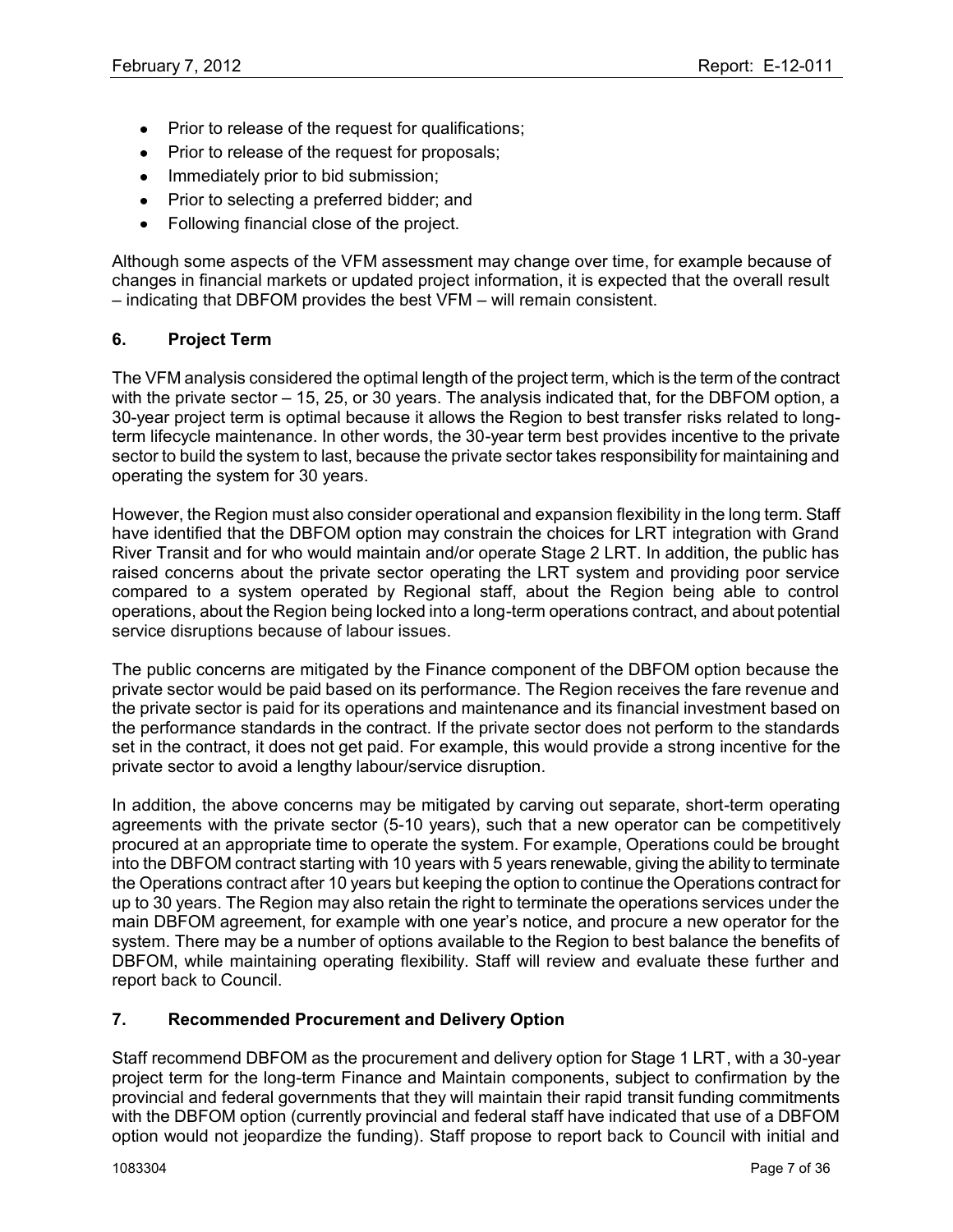- Prior to release of the request for qualifications;
- Prior to release of the request for proposals;
- Immediately prior to bid submission;
- Prior to selecting a preferred bidder; and
- Following financial close of the project.

Although some aspects of the VFM assessment may change over time, for example because of changes in financial markets or updated project information, it is expected that the overall result – indicating that DBFOM provides the best VFM – will remain consistent.

## **6. Project Term**

The VFM analysis considered the optimal length of the project term, which is the term of the contract with the private sector – 15, 25, or 30 years. The analysis indicated that, for the DBFOM option, a 30-year project term is optimal because it allows the Region to best transfer risks related to longterm lifecycle maintenance. In other words, the 30-year term best provides incentive to the private sector to build the system to last, because the private sector takes responsibility for maintaining and operating the system for 30 years.

However, the Region must also consider operational and expansion flexibility in the long term. Staff have identified that the DBFOM option may constrain the choices for LRT integration with Grand River Transit and for who would maintain and/or operate Stage 2 LRT. In addition, the public has raised concerns about the private sector operating the LRT system and providing poor service compared to a system operated by Regional staff, about the Region being able to control operations, about the Region being locked into a long-term operations contract, and about potential service disruptions because of labour issues.

The public concerns are mitigated by the Finance component of the DBFOM option because the private sector would be paid based on its performance. The Region receives the fare revenue and the private sector is paid for its operations and maintenance and its financial investment based on the performance standards in the contract. If the private sector does not perform to the standards set in the contract, it does not get paid. For example, this would provide a strong incentive for the private sector to avoid a lengthy labour/service disruption.

In addition, the above concerns may be mitigated by carving out separate, short-term operating agreements with the private sector (5-10 years), such that a new operator can be competitively procured at an appropriate time to operate the system. For example, Operations could be brought into the DBFOM contract starting with 10 years with 5 years renewable, giving the ability to terminate the Operations contract after 10 years but keeping the option to continue the Operations contract for up to 30 years. The Region may also retain the right to terminate the operations services under the main DBFOM agreement, for example with one year"s notice, and procure a new operator for the system. There may be a number of options available to the Region to best balance the benefits of DBFOM, while maintaining operating flexibility. Staff will review and evaluate these further and report back to Council.

# **7. Recommended Procurement and Delivery Option**

Staff recommend DBFOM as the procurement and delivery option for Stage 1 LRT, with a 30-year project term for the long-term Finance and Maintain components, subject to confirmation by the provincial and federal governments that they will maintain their rapid transit funding commitments with the DBFOM option (currently provincial and federal staff have indicated that use of a DBFOM option would not jeopardize the funding). Staff propose to report back to Council with initial and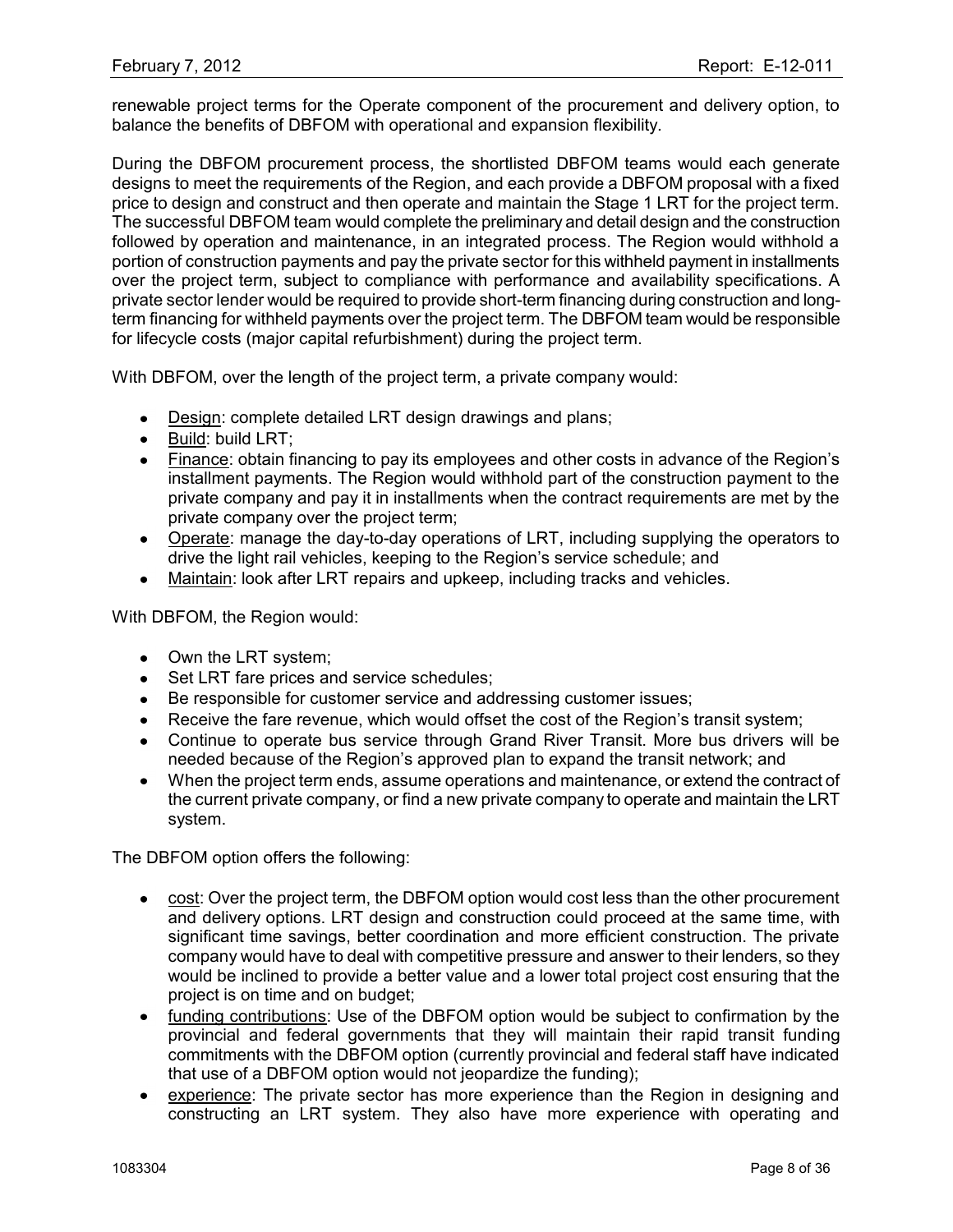renewable project terms for the Operate component of the procurement and delivery option, to balance the benefits of DBFOM with operational and expansion flexibility.

During the DBFOM procurement process, the shortlisted DBFOM teams would each generate designs to meet the requirements of the Region, and each provide a DBFOM proposal with a fixed price to design and construct and then operate and maintain the Stage 1 LRT for the project term. The successful DBFOM team would complete the preliminary and detail design and the construction followed by operation and maintenance, in an integrated process. The Region would withhold a portion of construction payments and pay the private sector for this withheld payment in installments over the project term, subject to compliance with performance and availability specifications. A private sector lender would be required to provide short-term financing during construction and longterm financing for withheld payments over the project term. The DBFOM team would be responsible for lifecycle costs (major capital refurbishment) during the project term.

With DBFOM, over the length of the project term, a private company would:

- Design: complete detailed LRT design drawings and plans;
- Build: build LRT:
- Finance: obtain financing to pay its employees and other costs in advance of the Region"s installment payments. The Region would withhold part of the construction payment to the private company and pay it in installments when the contract requirements are met by the private company over the project term;
- Operate: manage the day-to-day operations of LRT, including supplying the operators to drive the light rail vehicles, keeping to the Region"s service schedule; and
- Maintain: look after LRT repairs and upkeep, including tracks and vehicles.

With DBFOM, the Region would:

- Own the LRT system;
- Set LRT fare prices and service schedules:
- Be responsible for customer service and addressing customer issues;
- Receive the fare revenue, which would offset the cost of the Region's transit system;
- Continue to operate bus service through Grand River Transit. More bus drivers will be needed because of the Region"s approved plan to expand the transit network; and
- When the project term ends, assume operations and maintenance, or extend the contract of  $\bullet$ the current private company, or find a new private company to operate and maintain the LRT system.

The DBFOM option offers the following:

- cost: Over the project term, the DBFOM option would cost less than the other procurement and delivery options. LRT design and construction could proceed at the same time, with significant time savings, better coordination and more efficient construction. The private company would have to deal with competitive pressure and answer to their lenders, so they would be inclined to provide a better value and a lower total project cost ensuring that the project is on time and on budget;
- funding contributions: Use of the DBFOM option would be subject to confirmation by the  $\bullet$ provincial and federal governments that they will maintain their rapid transit funding commitments with the DBFOM option (currently provincial and federal staff have indicated that use of a DBFOM option would not jeopardize the funding);
- experience: The private sector has more experience than the Region in designing and  $\bullet$ constructing an LRT system. They also have more experience with operating and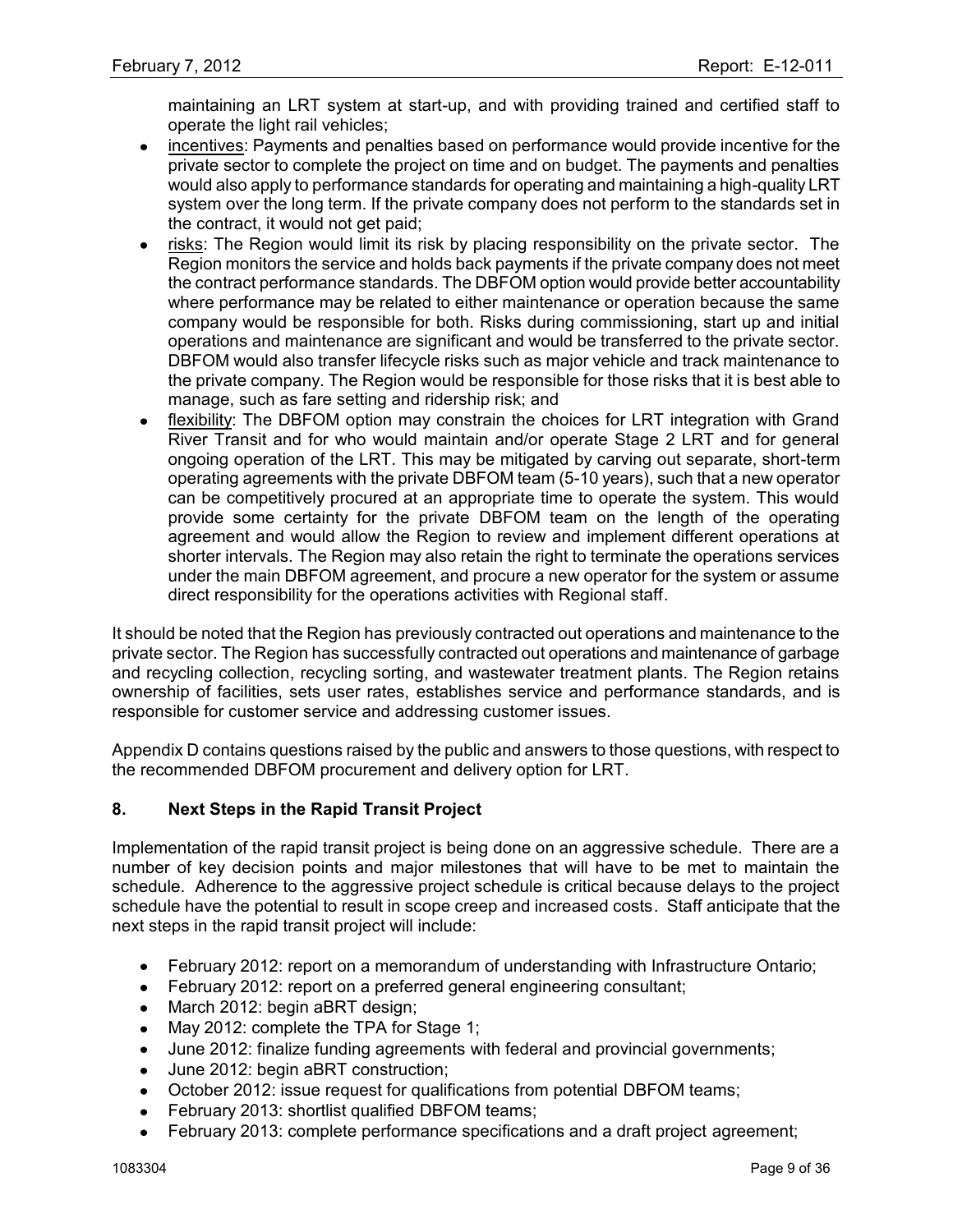maintaining an LRT system at start-up, and with providing trained and certified staff to operate the light rail vehicles;

- incentives: Payments and penalties based on performance would provide incentive for the  $\bullet$ private sector to complete the project on time and on budget. The payments and penalties would also apply to performance standards for operating and maintaining a high-quality LRT system over the long term. If the private company does not perform to the standards set in the contract, it would not get paid;
- risks: The Region would limit its risk by placing responsibility on the private sector. The Region monitors the service and holds back payments if the private company does not meet the contract performance standards. The DBFOM option would provide better accountability where performance may be related to either maintenance or operation because the same company would be responsible for both. Risks during commissioning, start up and initial operations and maintenance are significant and would be transferred to the private sector. DBFOM would also transfer lifecycle risks such as major vehicle and track maintenance to the private company. The Region would be responsible for those risks that it is best able to manage, such as fare setting and ridership risk; and
- flexibility: The DBFOM option may constrain the choices for LRT integration with Grand River Transit and for who would maintain and/or operate Stage 2 LRT and for general ongoing operation of the LRT. This may be mitigated by carving out separate, short-term operating agreements with the private DBFOM team (5-10 years), such that a new operator can be competitively procured at an appropriate time to operate the system. This would provide some certainty for the private DBFOM team on the length of the operating agreement and would allow the Region to review and implement different operations at shorter intervals. The Region may also retain the right to terminate the operations services under the main DBFOM agreement, and procure a new operator for the system or assume direct responsibility for the operations activities with Regional staff.

It should be noted that the Region has previously contracted out operations and maintenance to the private sector. The Region has successfully contracted out operations and maintenance of garbage and recycling collection, recycling sorting, and wastewater treatment plants. The Region retains ownership of facilities, sets user rates, establishes service and performance standards, and is responsible for customer service and addressing customer issues.

Appendix D contains questions raised by the public and answers to those questions, with respect to the recommended DBFOM procurement and delivery option for LRT.

### **8. Next Steps in the Rapid Transit Project**

Implementation of the rapid transit project is being done on an aggressive schedule. There are a number of key decision points and major milestones that will have to be met to maintain the schedule. Adherence to the aggressive project schedule is critical because delays to the project schedule have the potential to result in scope creep and increased costs. Staff anticipate that the next steps in the rapid transit project will include:

- February 2012: report on a memorandum of understanding with Infrastructure Ontario;  $\bullet$
- February 2012: report on a preferred general engineering consultant;
- March 2012: begin aBRT design;  $\bullet$
- May 2012: complete the TPA for Stage 1;  $\bullet$
- June 2012: finalize funding agreements with federal and provincial governments;  $\bullet$
- June 2012: begin aBRT construction;  $\bullet$
- October 2012: issue request for qualifications from potential DBFOM teams;  $\bullet$
- February 2013: shortlist qualified DBFOM teams;  $\bullet$
- February 2013: complete performance specifications and a draft project agreement;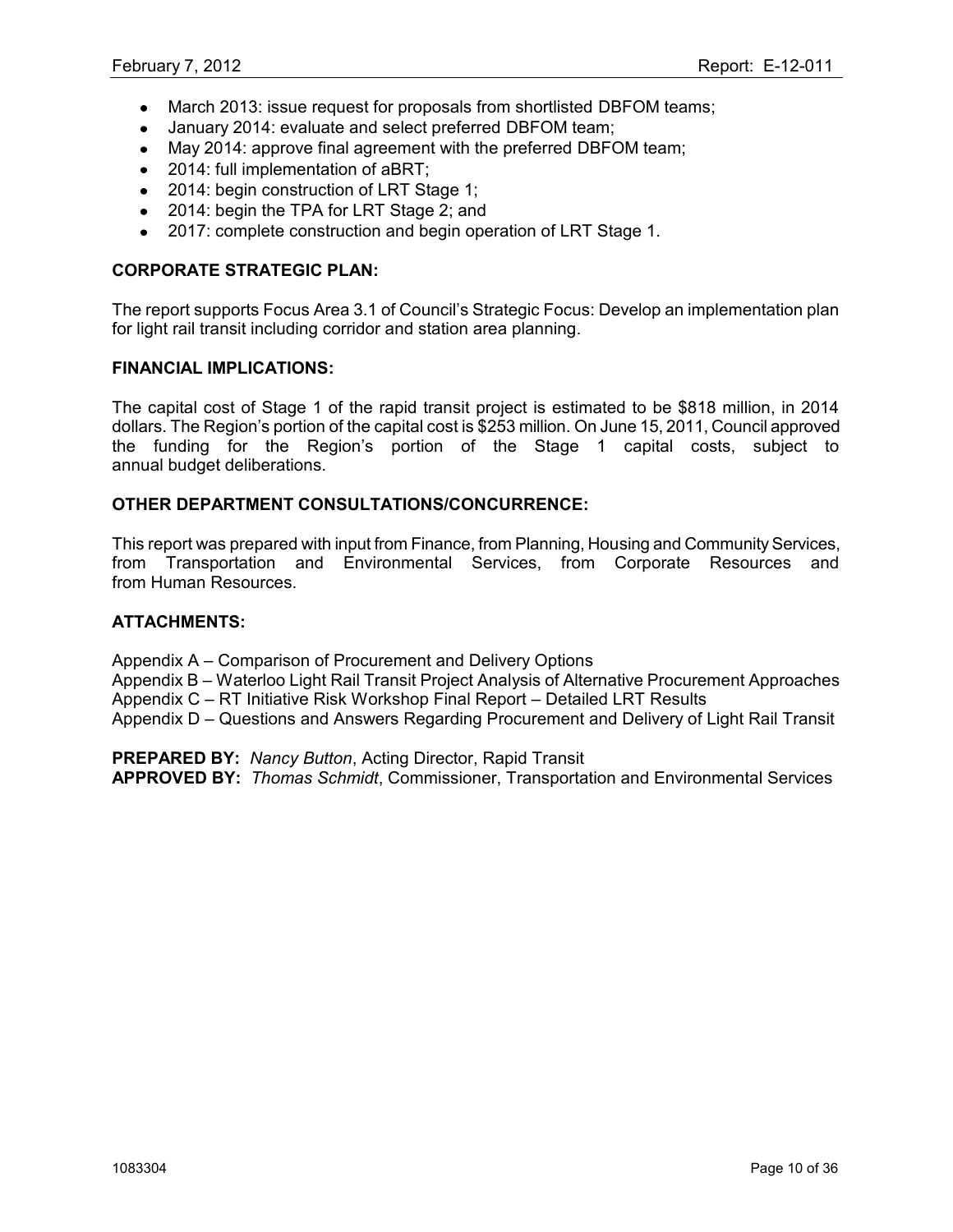- March 2013: issue request for proposals from shortlisted DBFOM teams;  $\bullet$
- January 2014: evaluate and select preferred DBFOM team;  $\bullet$
- May 2014: approve final agreement with the preferred DBFOM team;
- 2014: full implementation of aBRT;
- 2014: begin construction of LRT Stage 1;
- 2014: begin the TPA for LRT Stage 2; and
- 2017: complete construction and begin operation of LRT Stage 1.  $\bullet$

### **CORPORATE STRATEGIC PLAN:**

The report supports Focus Area 3.1 of Council"s Strategic Focus: Develop an implementation plan for light rail transit including corridor and station area planning.

#### **FINANCIAL IMPLICATIONS:**

The capital cost of Stage 1 of the rapid transit project is estimated to be \$818 million, in 2014 dollars. The Region"s portion of the capital cost is \$253 million. On June 15, 2011, Council approved the funding for the Region"s portion of the Stage 1 capital costs, subject to annual budget deliberations.

#### **OTHER DEPARTMENT CONSULTATIONS/CONCURRENCE:**

This report was prepared with input from Finance, from Planning, Housing and Community Services, from Transportation and Environmental Services, from Corporate Resources and from Human Resources.

#### **ATTACHMENTS:**

Appendix A – Comparison of Procurement and Delivery Options

Appendix B – Waterloo Light Rail Transit Project Analysis of Alternative Procurement Approaches Appendix C – RT Initiative Risk Workshop Final Report – Detailed LRT Results

Appendix D – Questions and Answers Regarding Procurement and Delivery of Light Rail Transit

**PREPARED BY:** *Nancy Button*, Acting Director, Rapid Transit

**APPROVED BY:** *Thomas Schmidt*, Commissioner, Transportation and Environmental Services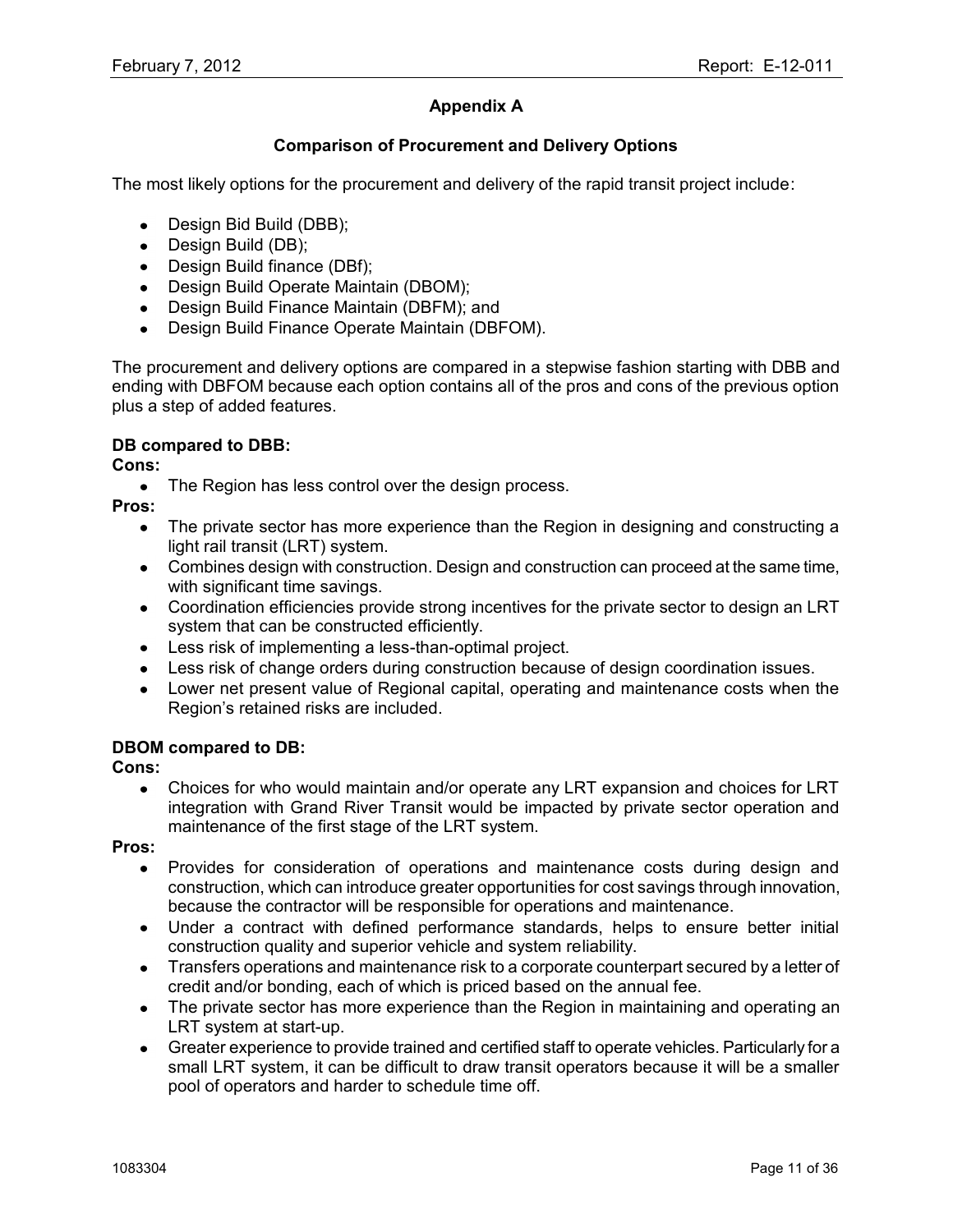# **Appendix A**

## **Comparison of Procurement and Delivery Options**

The most likely options for the procurement and delivery of the rapid transit project include:

- Design Bid Build (DBB);
- Design Build (DB);
- Design Build finance (DBf);
- Design Build Operate Maintain (DBOM);
- Design Build Finance Maintain (DBFM); and
- Design Build Finance Operate Maintain (DBFOM).

The procurement and delivery options are compared in a stepwise fashion starting with DBB and ending with DBFOM because each option contains all of the pros and cons of the previous option plus a step of added features.

## **DB compared to DBB:**

#### **Cons:**

• The Region has less control over the design process.

**Pros:**

- The private sector has more experience than the Region in designing and constructing a  $\bullet$ light rail transit (LRT) system.
- Combines design with construction. Design and construction can proceed at the same time, with significant time savings.
- Coordination efficiencies provide strong incentives for the private sector to design an LRT system that can be constructed efficiently.
- Less risk of implementing a less-than-optimal project.
- Less risk of change orders during construction because of design coordination issues.
- Lower net present value of Regional capital, operating and maintenance costs when the Region"s retained risks are included.

### **DBOM compared to DB:**

#### **Cons:**

Choices for who would maintain and/or operate any LRT expansion and choices for LRT  $\bullet$ integration with Grand River Transit would be impacted by private sector operation and maintenance of the first stage of the LRT system.

**Pros:**

- Provides for consideration of operations and maintenance costs during design and  $\bullet$ construction, which can introduce greater opportunities for cost savings through innovation, because the contractor will be responsible for operations and maintenance.
- Under a contract with defined performance standards, helps to ensure better initial construction quality and superior vehicle and system reliability.
- Transfers operations and maintenance risk to a corporate counterpart secured by a letter of credit and/or bonding, each of which is priced based on the annual fee.
- The private sector has more experience than the Region in maintaining and operating an LRT system at start-up.
- Greater experience to provide trained and certified staff to operate vehicles. Particularly for a small LRT system, it can be difficult to draw transit operators because it will be a smaller pool of operators and harder to schedule time off.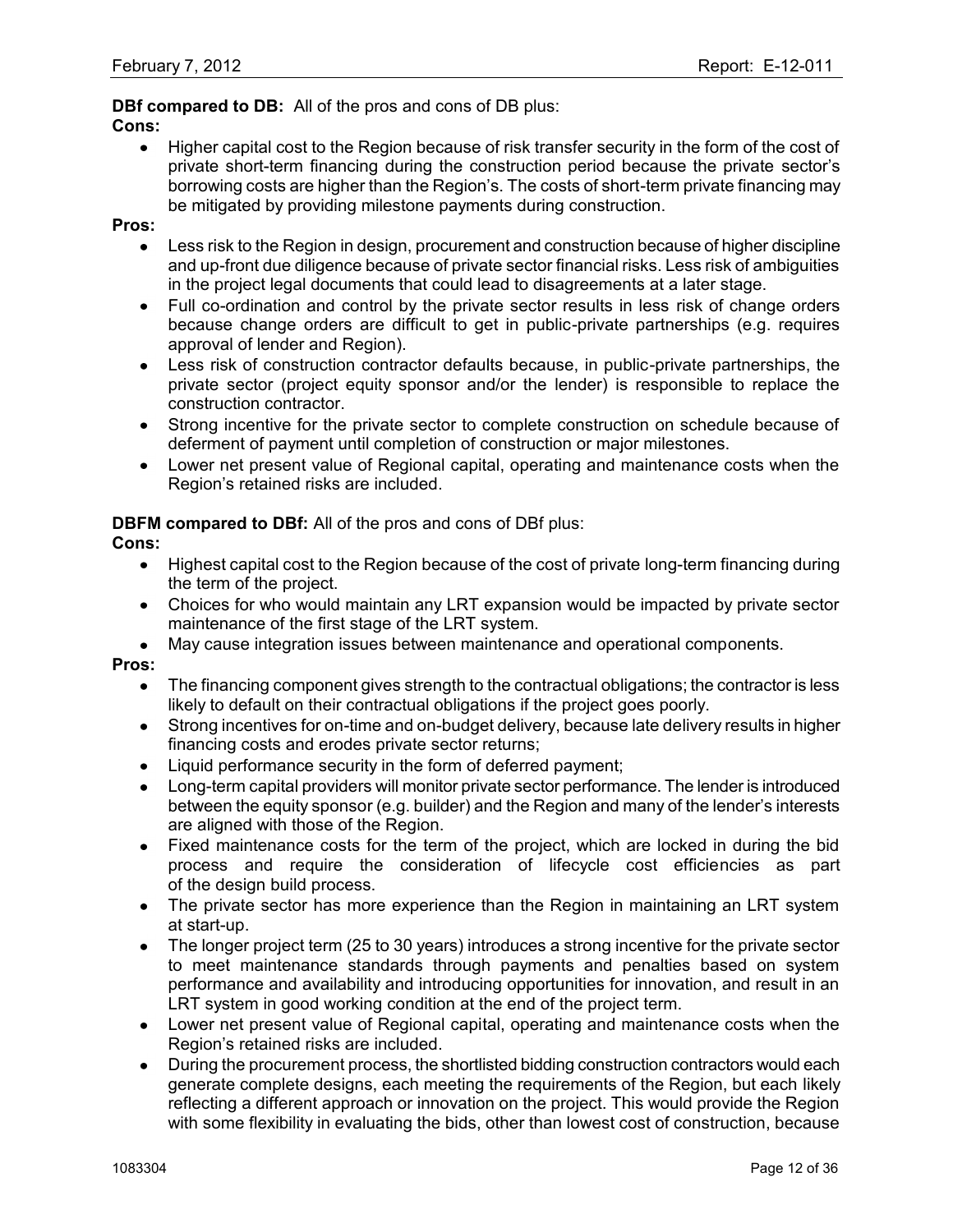## **DBf compared to DB:** All of the pros and cons of DB plus:

#### **Cons:**

• Higher capital cost to the Region because of risk transfer security in the form of the cost of private short-term financing during the construction period because the private sector"s borrowing costs are higher than the Region"s. The costs of short-term private financing may be mitigated by providing milestone payments during construction.

#### **Pros:**

- Less risk to the Region in design, procurement and construction because of higher discipline and up-front due diligence because of private sector financial risks. Less risk of ambiguities in the project legal documents that could lead to disagreements at a later stage.
- Full co-ordination and control by the private sector results in less risk of change orders because change orders are difficult to get in public-private partnerships (e.g. requires approval of lender and Region).
- Less risk of construction contractor defaults because, in public-private partnerships, the private sector (project equity sponsor and/or the lender) is responsible to replace the construction contractor.
- Strong incentive for the private sector to complete construction on schedule because of deferment of payment until completion of construction or major milestones.
- Lower net present value of Regional capital, operating and maintenance costs when the Region"s retained risks are included.

### **DBFM compared to DBf:** All of the pros and cons of DBf plus:

### **Cons:**

- Highest capital cost to the Region because of the cost of private long-term financing during the term of the project.
- Choices for who would maintain any LRT expansion would be impacted by private sector maintenance of the first stage of the LRT system.
- May cause integration issues between maintenance and operational components.

#### **Pros:**

- The financing component gives strength to the contractual obligations; the contractor is less likely to default on their contractual obligations if the project goes poorly.
- Strong incentives for on-time and on-budget delivery, because late delivery results in higher financing costs and erodes private sector returns;
- Liquid performance security in the form of deferred payment;
- Long-term capital providers will monitor private sector performance. The lender is introduced between the equity sponsor (e.g. builder) and the Region and many of the lender"s interests are aligned with those of the Region.
- Fixed maintenance costs for the term of the project, which are locked in during the bid process and require the consideration of lifecycle cost efficiencies as part of the design build process.
- The private sector has more experience than the Region in maintaining an LRT system at start-up.
- The longer project term (25 to 30 years) introduces a strong incentive for the private sector  $\bullet$ to meet maintenance standards through payments and penalties based on system performance and availability and introducing opportunities for innovation, and result in an LRT system in good working condition at the end of the project term.
- Lower net present value of Regional capital, operating and maintenance costs when the Region"s retained risks are included.
- During the procurement process, the shortlisted bidding construction contractors would each generate complete designs, each meeting the requirements of the Region, but each likely reflecting a different approach or innovation on the project. This would provide the Region with some flexibility in evaluating the bids, other than lowest cost of construction, because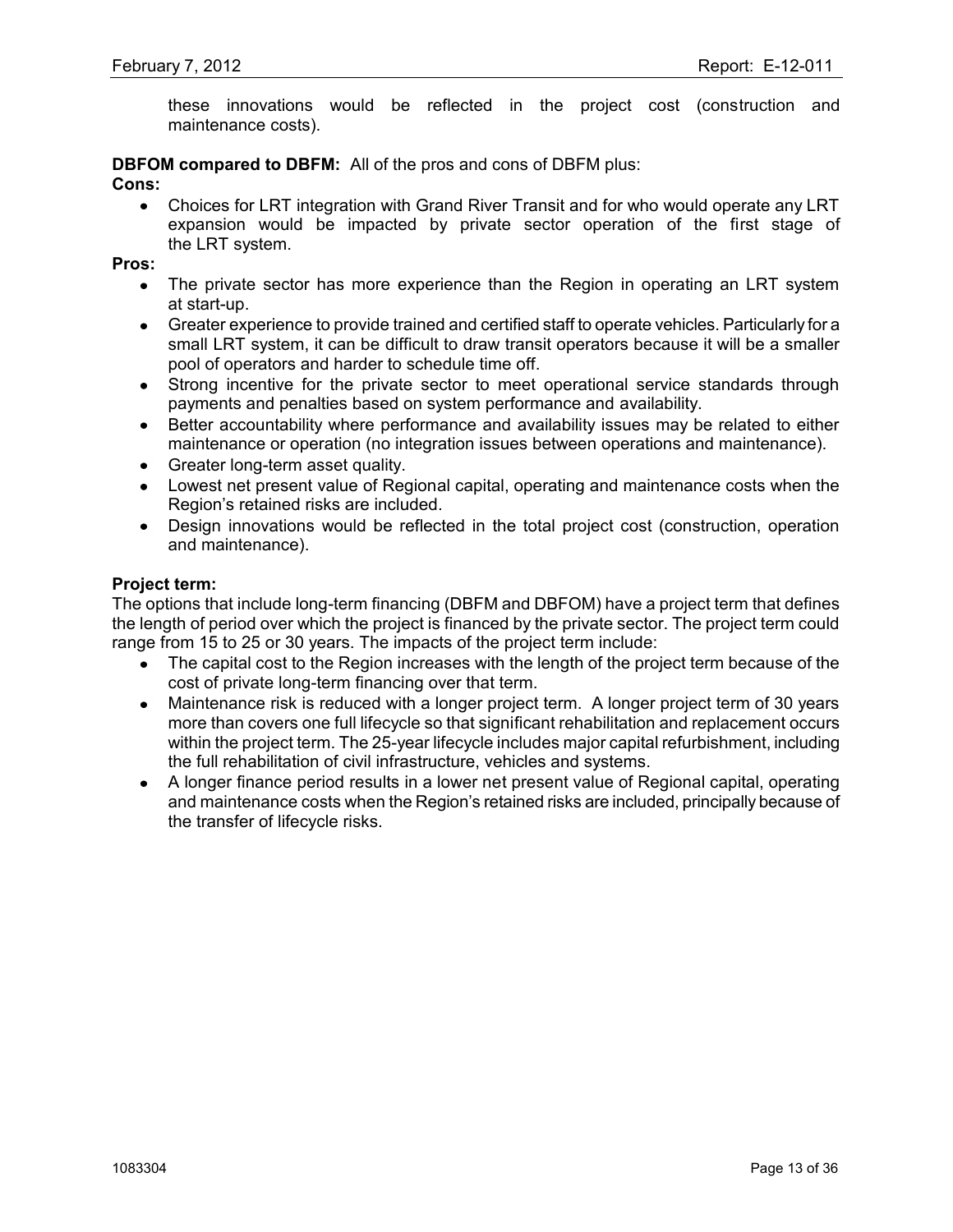these innovations would be reflected in the project cost (construction and maintenance costs).

#### **DBFOM compared to DBFM:** All of the pros and cons of DBFM plus: **Cons:**

Choices for LRT integration with Grand River Transit and for who would operate any LRT expansion would be impacted by private sector operation of the first stage of the LRT system.

**Pros:**

- The private sector has more experience than the Region in operating an LRT system  $\bullet$ at start-up.
- Greater experience to provide trained and certified staff to operate vehicles. Particularly for a small LRT system, it can be difficult to draw transit operators because it will be a smaller pool of operators and harder to schedule time off.
- Strong incentive for the private sector to meet operational service standards through payments and penalties based on system performance and availability.
- Better accountability where performance and availability issues may be related to either maintenance or operation (no integration issues between operations and maintenance).
- Greater long-term asset quality.
- Lowest net present value of Regional capital, operating and maintenance costs when the Region"s retained risks are included.
- Design innovations would be reflected in the total project cost (construction, operation  $\bullet$ and maintenance).

#### **Project term:**

The options that include long-term financing (DBFM and DBFOM) have a project term that defines the length of period over which the project is financed by the private sector. The project term could range from 15 to 25 or 30 years. The impacts of the project term include:

- The capital cost to the Region increases with the length of the project term because of the cost of private long-term financing over that term.
- Maintenance risk is reduced with a longer project term. A longer project term of 30 years  $\bullet$ more than covers one full lifecycle so that significant rehabilitation and replacement occurs within the project term. The 25-year lifecycle includes major capital refurbishment, including the full rehabilitation of civil infrastructure, vehicles and systems.
- A longer finance period results in a lower net present value of Regional capital, operating and maintenance costs when the Region's retained risks are included, principally because of the transfer of lifecycle risks.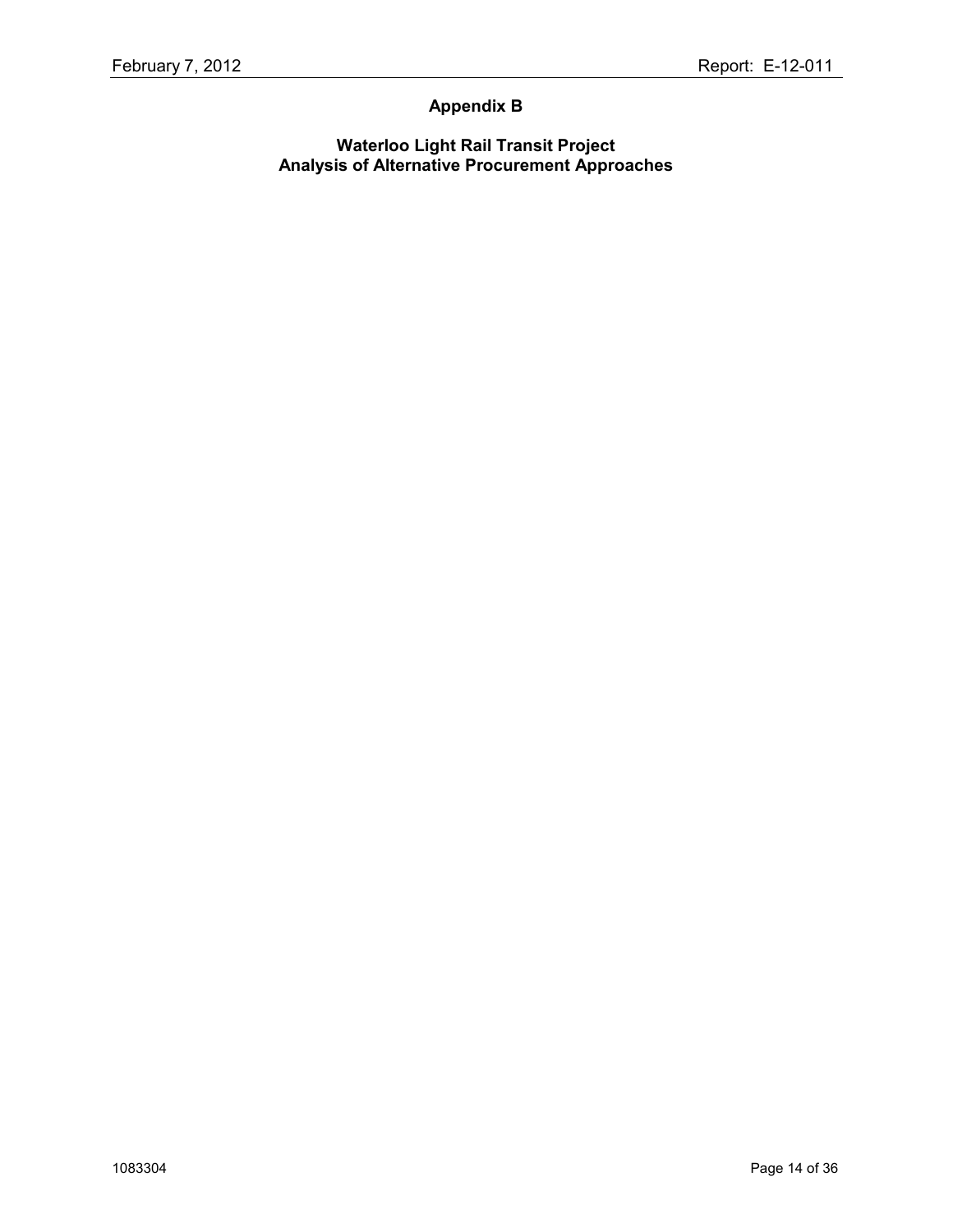# **Appendix B**

**Waterloo Light Rail Transit Project Analysis of Alternative Procurement Approaches**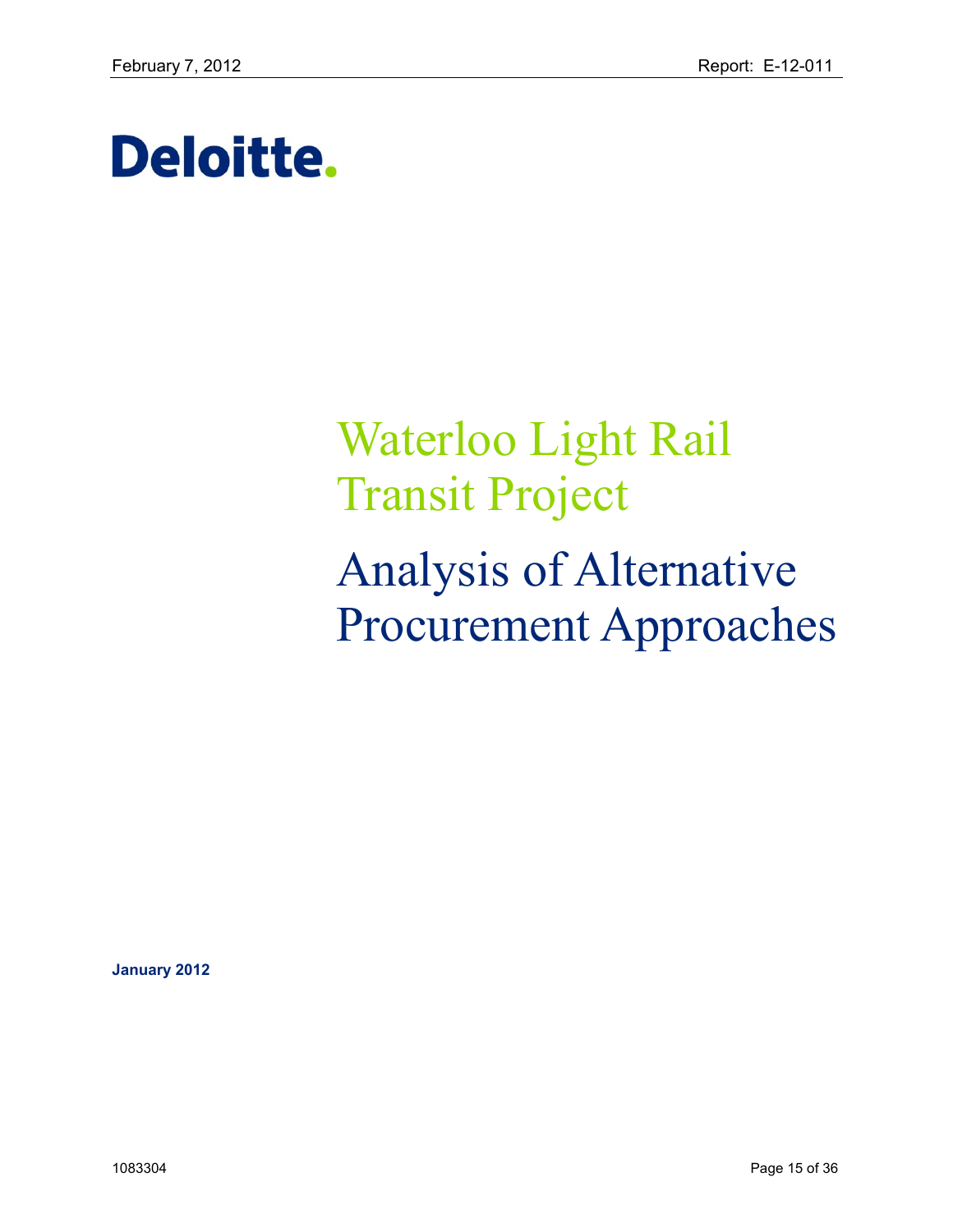# Deloitte.

# Waterloo Light Rail Transit Project Analysis of Alternative Procurement Approaches

**January 2012**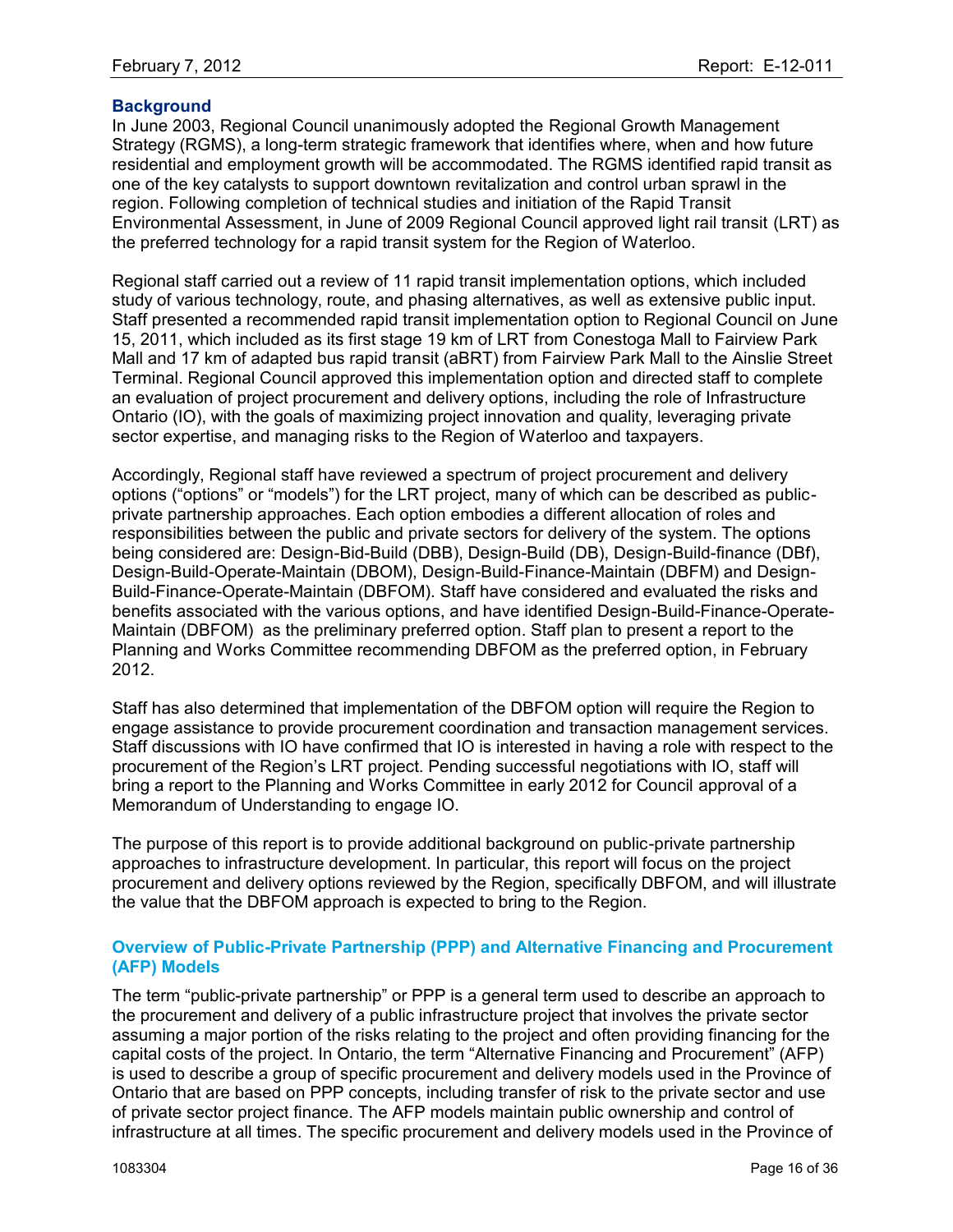## **Background**

In June 2003, Regional Council unanimously adopted the [Regional Growth Management](http://rapidtransit.region.waterloo.on.ca/regional-growth-management-strategy.html)  [Strategy](http://rapidtransit.region.waterloo.on.ca/regional-growth-management-strategy.html) (RGMS), a long-term strategic framework that identifies where, when and how future residential and employment growth will be accommodated. The RGMS identified rapid transit as one of the key catalysts to support downtown revitalization and control urban sprawl in the region. Following completion of technical studies and initiation of the Rapid Transit Environmental Assessment, in June of 2009 Regional Council approved light rail transit (LRT) as the preferred technology for a rapid transit system for the Region of Waterloo.

Regional staff carried out a review of 11 rapid transit implementation options, which included study of various technology, route, and phasing alternatives, as well as extensive public input. Staff presented a recommended rapid transit implementation option to Regional Council on June 15, 2011, which included as its first stage 19 km of LRT from Conestoga Mall to Fairview Park Mall and 17 km of adapted bus rapid transit (aBRT) from Fairview Park Mall to the Ainslie Street Terminal. Regional Council approved this implementation option and directed staff to complete an evaluation of project procurement and delivery options, including the role of Infrastructure Ontario (IO), with the goals of maximizing project innovation and quality, leveraging private sector expertise, and managing risks to the Region of Waterloo and taxpayers.

Accordingly, Regional staff have reviewed a spectrum of project procurement and delivery options ("options" or "models") for the LRT project, many of which can be described as publicprivate partnership approaches. Each option embodies a different allocation of roles and responsibilities between the public and private sectors for delivery of the system. The options being considered are: Design-Bid-Build (DBB), Design-Build (DB), Design-Build-finance (DBf), Design-Build-Operate-Maintain (DBOM), Design-Build-Finance-Maintain (DBFM) and Design-Build-Finance-Operate-Maintain (DBFOM). Staff have considered and evaluated the risks and benefits associated with the various options, and have identified Design-Build-Finance-Operate-Maintain (DBFOM) as the preliminary preferred option. Staff plan to present a report to the Planning and Works Committee recommending DBFOM as the preferred option, in February 2012.

Staff has also determined that implementation of the DBFOM option will require the Region to engage assistance to provide procurement coordination and transaction management services. Staff discussions with IO have confirmed that IO is interested in having a role with respect to the procurement of the Region"s LRT project. Pending successful negotiations with IO, staff will bring a report to the Planning and Works Committee in early 2012 for Council approval of a Memorandum of Understanding to engage IO.

The purpose of this report is to provide additional background on public-private partnership approaches to infrastructure development. In particular, this report will focus on the project procurement and delivery options reviewed by the Region, specifically DBFOM, and will illustrate the value that the DBFOM approach is expected to bring to the Region.

#### **Overview of Public-Private Partnership (PPP) and Alternative Financing and Procurement (AFP) Models**

The term "public-private partnership" or PPP is a general term used to describe an approach to the procurement and delivery of a public infrastructure project that involves the private sector assuming a major portion of the risks relating to the project and often providing financing for the capital costs of the project. In Ontario, the term "Alternative Financing and Procurement" (AFP) is used to describe a group of specific procurement and delivery models used in the Province of Ontario that are based on PPP concepts, including transfer of risk to the private sector and use of private sector project finance. The AFP models maintain public ownership and control of infrastructure at all times. The specific procurement and delivery models used in the Province of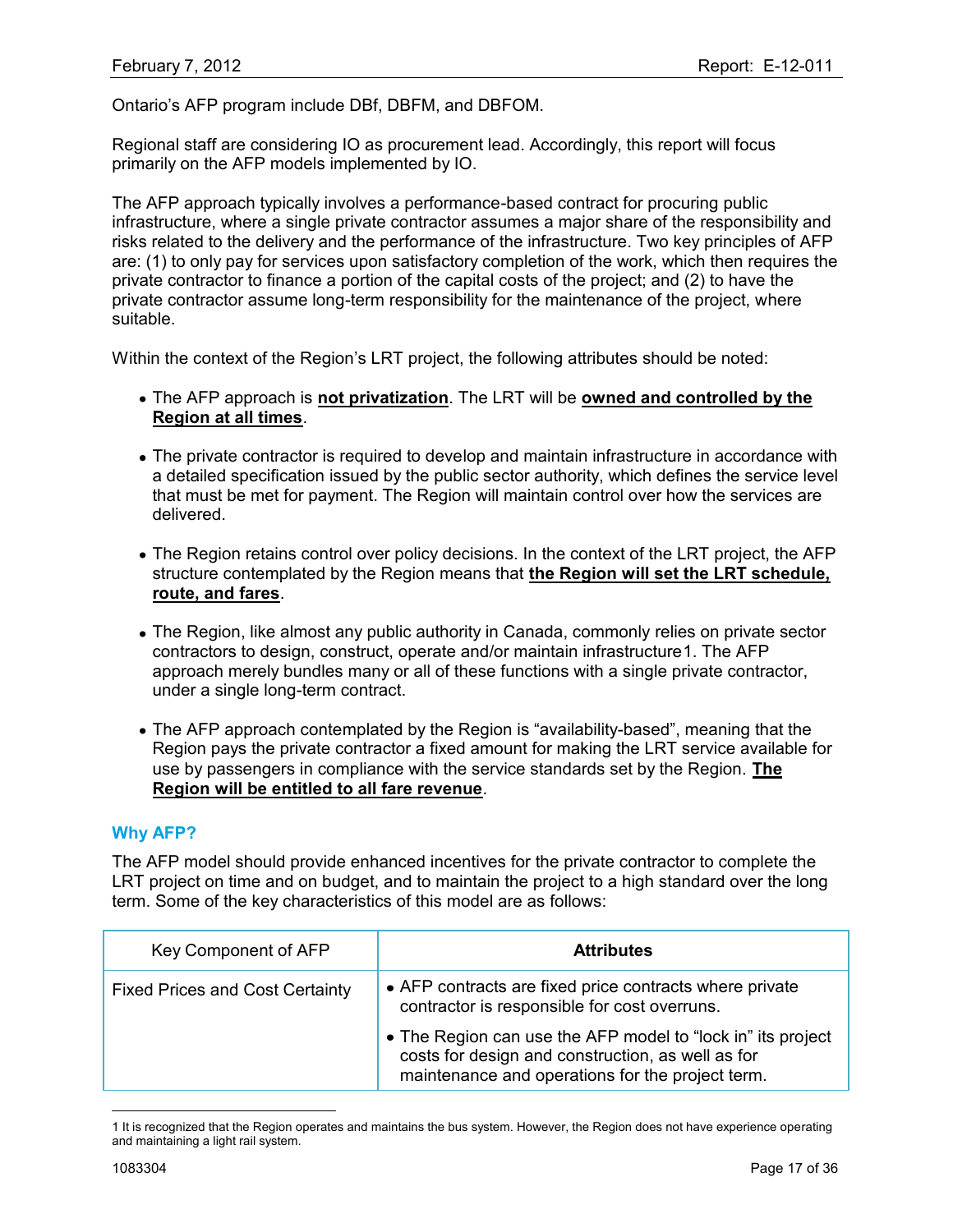Ontario"s AFP program include DBf, DBFM, and DBFOM.

Regional staff are considering IO as procurement lead. Accordingly, this report will focus primarily on the AFP models implemented by IO.

The AFP approach typically involves a performance-based contract for procuring public infrastructure, where a single private contractor assumes a major share of the responsibility and risks related to the delivery and the performance of the infrastructure. Two key principles of AFP are: (1) to only pay for services upon satisfactory completion of the work, which then requires the private contractor to finance a portion of the capital costs of the project; and (2) to have the private contractor assume long-term responsibility for the maintenance of the project, where suitable.

Within the context of the Region"s LRT project, the following attributes should be noted:

- The AFP approach is **not privatization**. The LRT will be **owned and controlled by the Region at all times**.
- The private contractor is required to develop and maintain infrastructure in accordance with a detailed specification issued by the public sector authority, which defines the service level that must be met for payment. The Region will maintain control over how the services are delivered.
- The Region retains control over policy decisions. In the context of the LRT project, the AFP structure contemplated by the Region means that **the Region will set the LRT schedule, route, and fares**.
- The Region, like almost any public authority in Canada, commonly relies on private sector contractors to design, construct, operate and/or maintain infrastructure1. The AFP approach merely bundles many or all of these functions with a single private contractor, under a single long-term contract.
- The AFP approach contemplated by the Region is "availability-based", meaning that the Region pays the private contractor a fixed amount for making the LRT service available for use by passengers in compliance with the service standards set by the Region. **The Region will be entitled to all fare revenue**.

### **Why AFP?**

The AFP model should provide enhanced incentives for the private contractor to complete the LRT project on time and on budget, and to maintain the project to a high standard over the long term. Some of the key characteristics of this model are as follows:

| Key Component of AFP                   | <b>Attributes</b>                                                                                                                                                    |
|----------------------------------------|----------------------------------------------------------------------------------------------------------------------------------------------------------------------|
| <b>Fixed Prices and Cost Certainty</b> | • AFP contracts are fixed price contracts where private<br>contractor is responsible for cost overruns.                                                              |
|                                        | • The Region can use the AFP model to "lock in" its project<br>costs for design and construction, as well as for<br>maintenance and operations for the project term. |

<sup>1</sup> It is recognized that the Region operates and maintains the bus system. However, the Region does not have experience operating and maintaining a light rail system.

 $\overline{a}$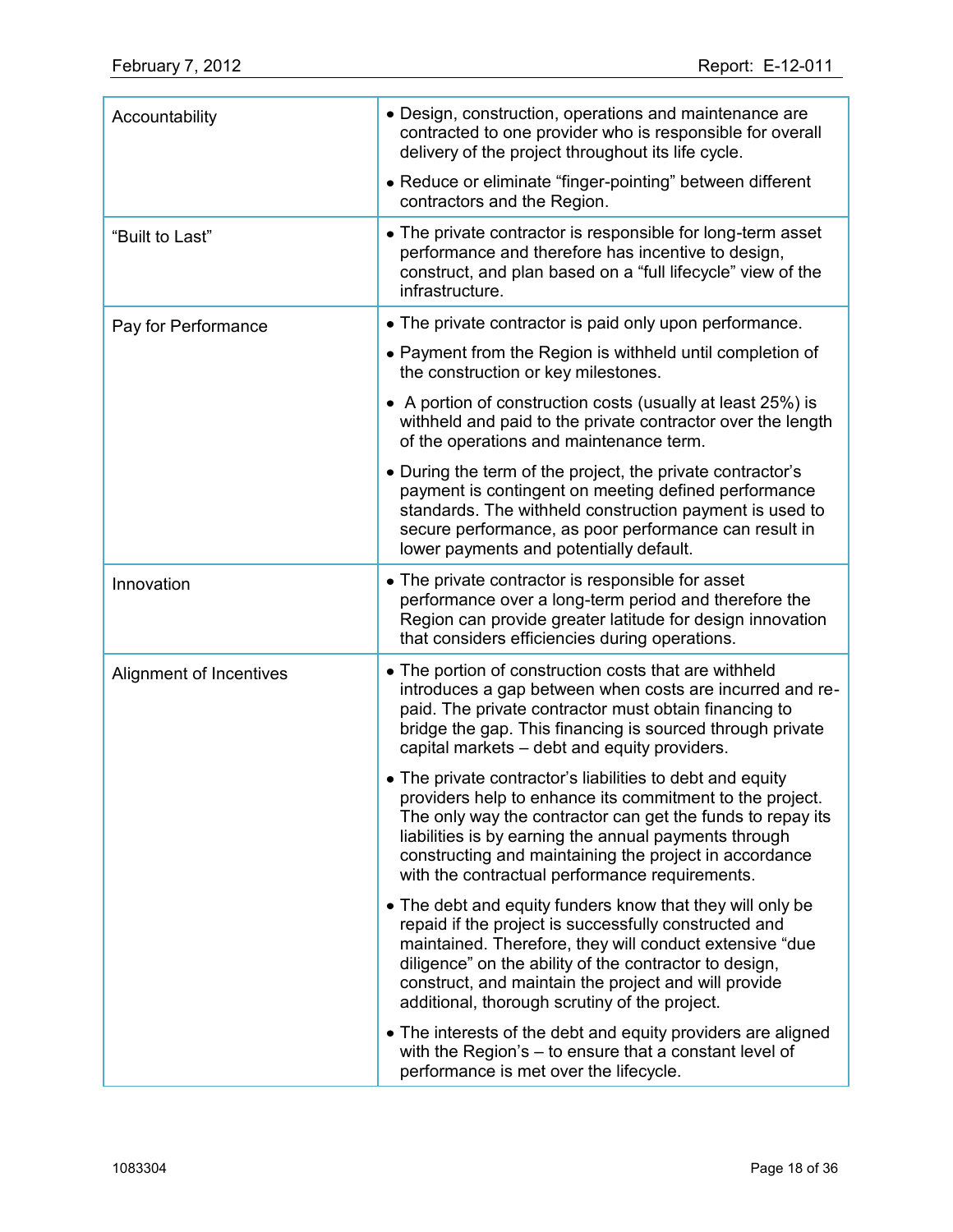| Accountability          | • Design, construction, operations and maintenance are<br>contracted to one provider who is responsible for overall<br>delivery of the project throughout its life cycle.                                                                                                                                                                                |  |  |  |
|-------------------------|----------------------------------------------------------------------------------------------------------------------------------------------------------------------------------------------------------------------------------------------------------------------------------------------------------------------------------------------------------|--|--|--|
|                         | • Reduce or eliminate "finger-pointing" between different<br>contractors and the Region.                                                                                                                                                                                                                                                                 |  |  |  |
| "Built to Last"         | • The private contractor is responsible for long-term asset<br>performance and therefore has incentive to design,<br>construct, and plan based on a "full lifecycle" view of the<br>infrastructure.                                                                                                                                                      |  |  |  |
| Pay for Performance     | • The private contractor is paid only upon performance.                                                                                                                                                                                                                                                                                                  |  |  |  |
|                         | • Payment from the Region is withheld until completion of<br>the construction or key milestones.                                                                                                                                                                                                                                                         |  |  |  |
|                         | • A portion of construction costs (usually at least 25%) is<br>withheld and paid to the private contractor over the length<br>of the operations and maintenance term.                                                                                                                                                                                    |  |  |  |
|                         | • During the term of the project, the private contractor's<br>payment is contingent on meeting defined performance<br>standards. The withheld construction payment is used to<br>secure performance, as poor performance can result in<br>lower payments and potentially default.                                                                        |  |  |  |
| Innovation              | • The private contractor is responsible for asset<br>performance over a long-term period and therefore the<br>Region can provide greater latitude for design innovation<br>that considers efficiencies during operations.                                                                                                                                |  |  |  |
| Alignment of Incentives | • The portion of construction costs that are withheld<br>introduces a gap between when costs are incurred and re-<br>paid. The private contractor must obtain financing to<br>bridge the gap. This financing is sourced through private<br>capital markets - debt and equity providers.                                                                  |  |  |  |
|                         | • The private contractor's liabilities to debt and equity<br>providers help to enhance its commitment to the project.<br>The only way the contractor can get the funds to repay its<br>liabilities is by earning the annual payments through<br>constructing and maintaining the project in accordance<br>with the contractual performance requirements. |  |  |  |
|                         | • The debt and equity funders know that they will only be<br>repaid if the project is successfully constructed and<br>maintained. Therefore, they will conduct extensive "due<br>diligence" on the ability of the contractor to design,<br>construct, and maintain the project and will provide<br>additional, thorough scrutiny of the project.         |  |  |  |
|                         | • The interests of the debt and equity providers are aligned<br>with the Region's $-$ to ensure that a constant level of<br>performance is met over the lifecycle.                                                                                                                                                                                       |  |  |  |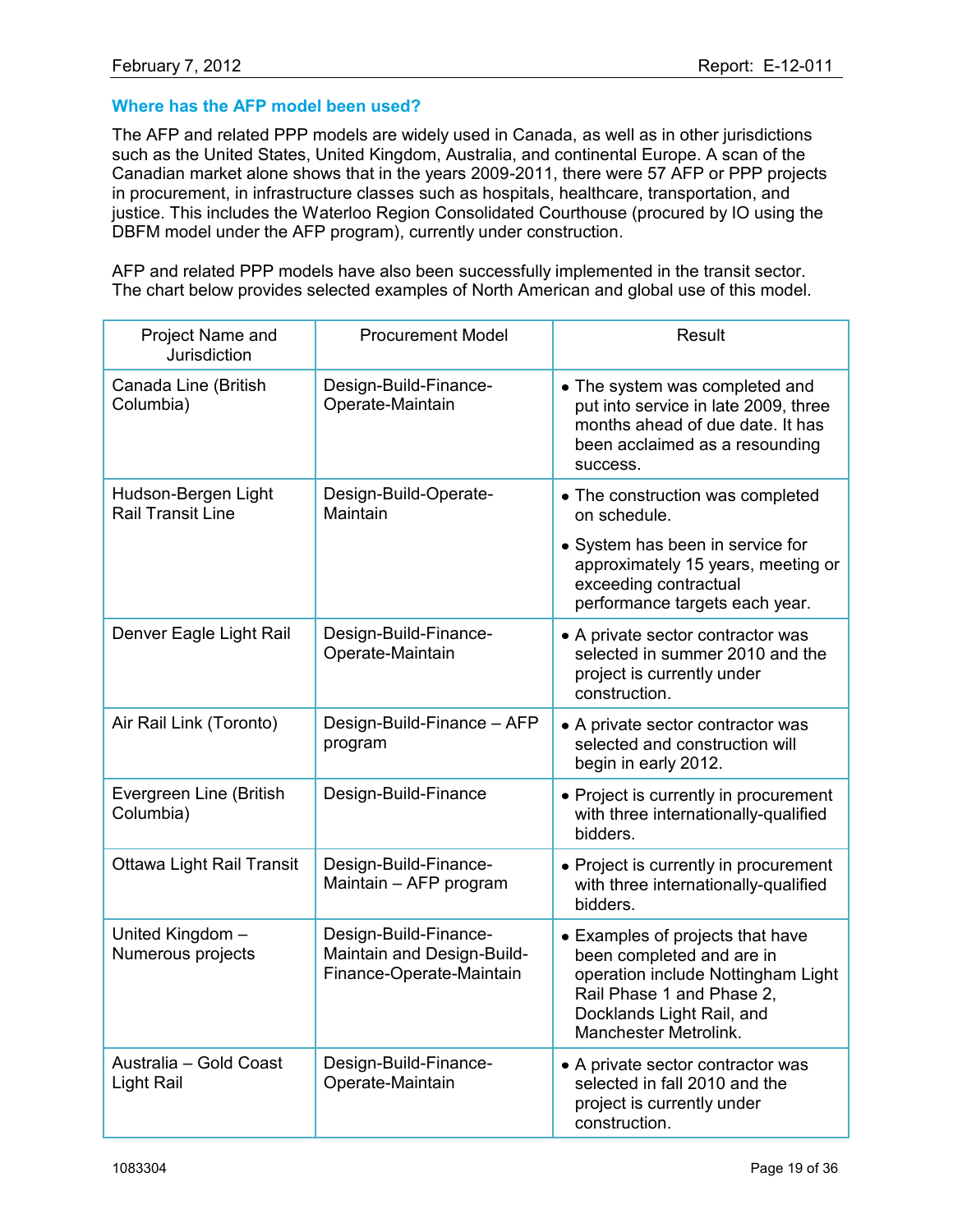## **Where has the AFP model been used?**

The AFP and related PPP models are widely used in Canada, as well as in other jurisdictions such as the United States, United Kingdom, Australia, and continental Europe. A scan of the Canadian market alone shows that in the years 2009-2011, there were 57 AFP or PPP projects in procurement, in infrastructure classes such as hospitals, healthcare, transportation, and justice. This includes the Waterloo Region Consolidated Courthouse (procured by IO using the DBFM model under the AFP program), currently under construction.

AFP and related PPP models have also been successfully implemented in the transit sector. The chart below provides selected examples of North American and global use of this model.

| Project Name and<br>Jurisdiction                | <b>Procurement Model</b>                                                        | <b>Result</b>                                                                                                                                                                          |
|-------------------------------------------------|---------------------------------------------------------------------------------|----------------------------------------------------------------------------------------------------------------------------------------------------------------------------------------|
| Canada Line (British<br>Columbia)               | Design-Build-Finance-<br>Operate-Maintain                                       | • The system was completed and<br>put into service in late 2009, three<br>months ahead of due date. It has<br>been acclaimed as a resounding<br>success.                               |
| Hudson-Bergen Light<br><b>Rail Transit Line</b> | Design-Build-Operate-<br>Maintain                                               | • The construction was completed<br>on schedule.                                                                                                                                       |
|                                                 |                                                                                 | • System has been in service for<br>approximately 15 years, meeting or<br>exceeding contractual<br>performance targets each year.                                                      |
| Denver Eagle Light Rail                         | Design-Build-Finance-<br>Operate-Maintain                                       | • A private sector contractor was<br>selected in summer 2010 and the<br>project is currently under<br>construction.                                                                    |
| Air Rail Link (Toronto)                         | Design-Build-Finance - AFP<br>program                                           | • A private sector contractor was<br>selected and construction will<br>begin in early 2012.                                                                                            |
| Evergreen Line (British<br>Columbia)            | Design-Build-Finance                                                            | • Project is currently in procurement<br>with three internationally-qualified<br>bidders.                                                                                              |
| <b>Ottawa Light Rail Transit</b>                | Design-Build-Finance-<br>Maintain - AFP program                                 | • Project is currently in procurement<br>with three internationally-qualified<br>bidders.                                                                                              |
| United Kingdom -<br>Numerous projects           | Design-Build-Finance-<br>Maintain and Design-Build-<br>Finance-Operate-Maintain | • Examples of projects that have<br>been completed and are in<br>operation include Nottingham Light<br>Rail Phase 1 and Phase 2,<br>Docklands Light Rail, and<br>Manchester Metrolink. |
| Australia - Gold Coast<br>Light Rail            | Design-Build-Finance-<br>Operate-Maintain                                       | • A private sector contractor was<br>selected in fall 2010 and the<br>project is currently under<br>construction.                                                                      |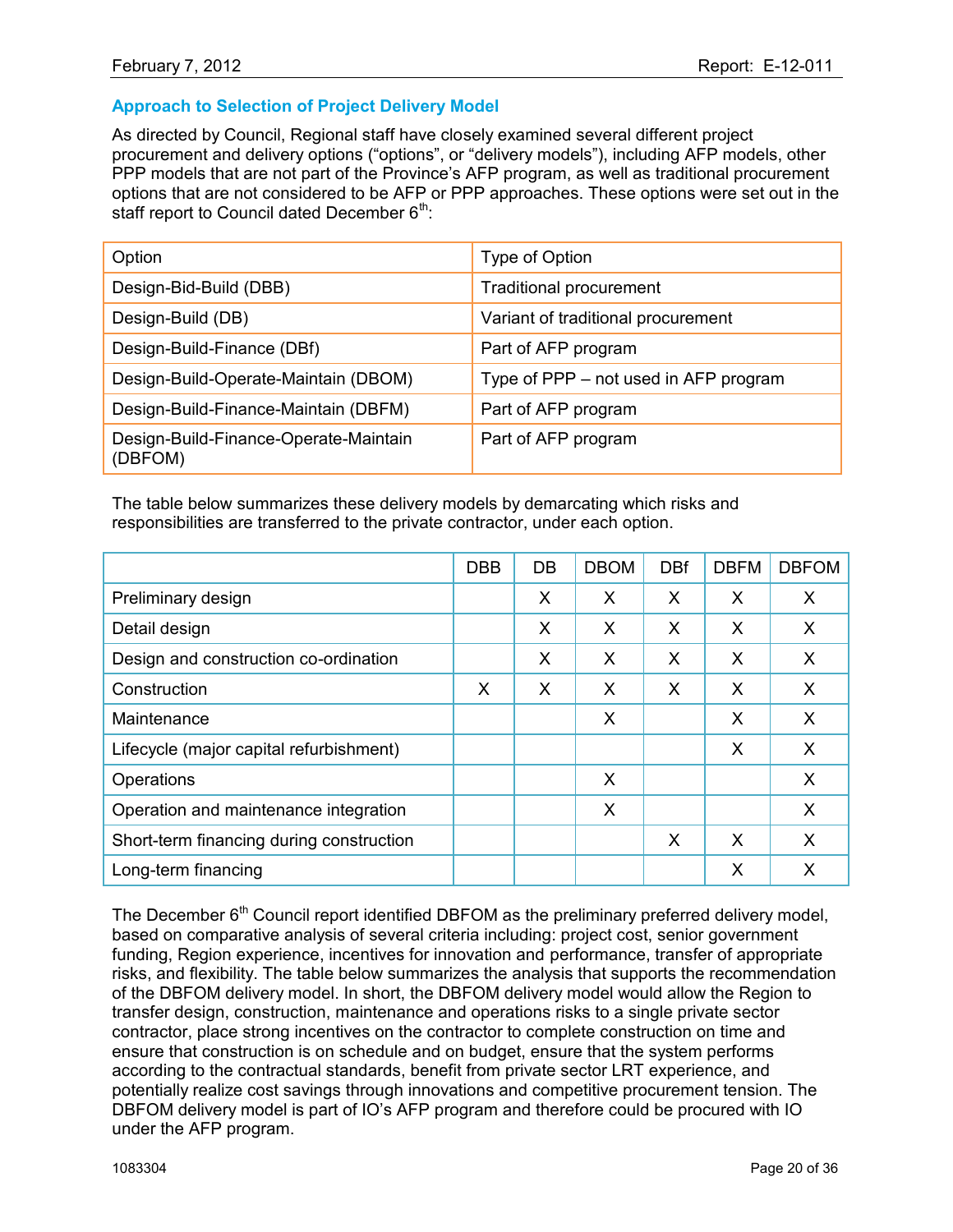# **Approach to Selection of Project Delivery Model**

As directed by Council, Regional staff have closely examined several different project procurement and delivery options ("options", or "delivery models"), including AFP models, other PPP models that are not part of the Province's AFP program, as well as traditional procurement options that are not considered to be AFP or PPP approaches. These options were set out in the staff report to Council dated December  $6<sup>th</sup>$ .

| Option                                           | Type of Option                        |
|--------------------------------------------------|---------------------------------------|
| Design-Bid-Build (DBB)                           | <b>Traditional procurement</b>        |
| Design-Build (DB)                                | Variant of traditional procurement    |
| Design-Build-Finance (DBf)                       | Part of AFP program                   |
| Design-Build-Operate-Maintain (DBOM)             | Type of PPP – not used in AFP program |
| Design-Build-Finance-Maintain (DBFM)             | Part of AFP program                   |
| Design-Build-Finance-Operate-Maintain<br>(DBFOM) | Part of AFP program                   |

The table below summarizes these delivery models by demarcating which risks and responsibilities are transferred to the private contractor, under each option.

|                                          | <b>DBB</b> | DB | <b>DBOM</b> | <b>DBf</b> | <b>DBFM</b> | <b>DBFOM</b> |
|------------------------------------------|------------|----|-------------|------------|-------------|--------------|
| Preliminary design                       |            | X  | X           | X          | X           | X            |
| Detail design                            |            | X  | X           | X          | X           | X            |
| Design and construction co-ordination    |            | X  | X           | X          | X           | X            |
| Construction                             | X          | X  | X           | X          | X           | X            |
| Maintenance                              |            |    | X           |            | X           | X            |
| Lifecycle (major capital refurbishment)  |            |    |             |            | X           | X            |
| Operations                               |            |    | $\times$    |            |             | X            |
| Operation and maintenance integration    |            |    | $\times$    |            |             | X            |
| Short-term financing during construction |            |    |             | X          | X           | $\times$     |
| Long-term financing                      |            |    |             |            | X           | X            |

The December 6<sup>th</sup> Council report identified DBFOM as the preliminary preferred delivery model, based on comparative analysis of several criteria including: project cost, senior government funding, Region experience, incentives for innovation and performance, transfer of appropriate risks, and flexibility. The table below summarizes the analysis that supports the recommendation of the DBFOM delivery model. In short, the DBFOM delivery model would allow the Region to transfer design, construction, maintenance and operations risks to a single private sector contractor, place strong incentives on the contractor to complete construction on time and ensure that construction is on schedule and on budget, ensure that the system performs according to the contractual standards, benefit from private sector LRT experience, and potentially realize cost savings through innovations and competitive procurement tension. The DBFOM delivery model is part of IO"s AFP program and therefore could be procured with IO under the AFP program.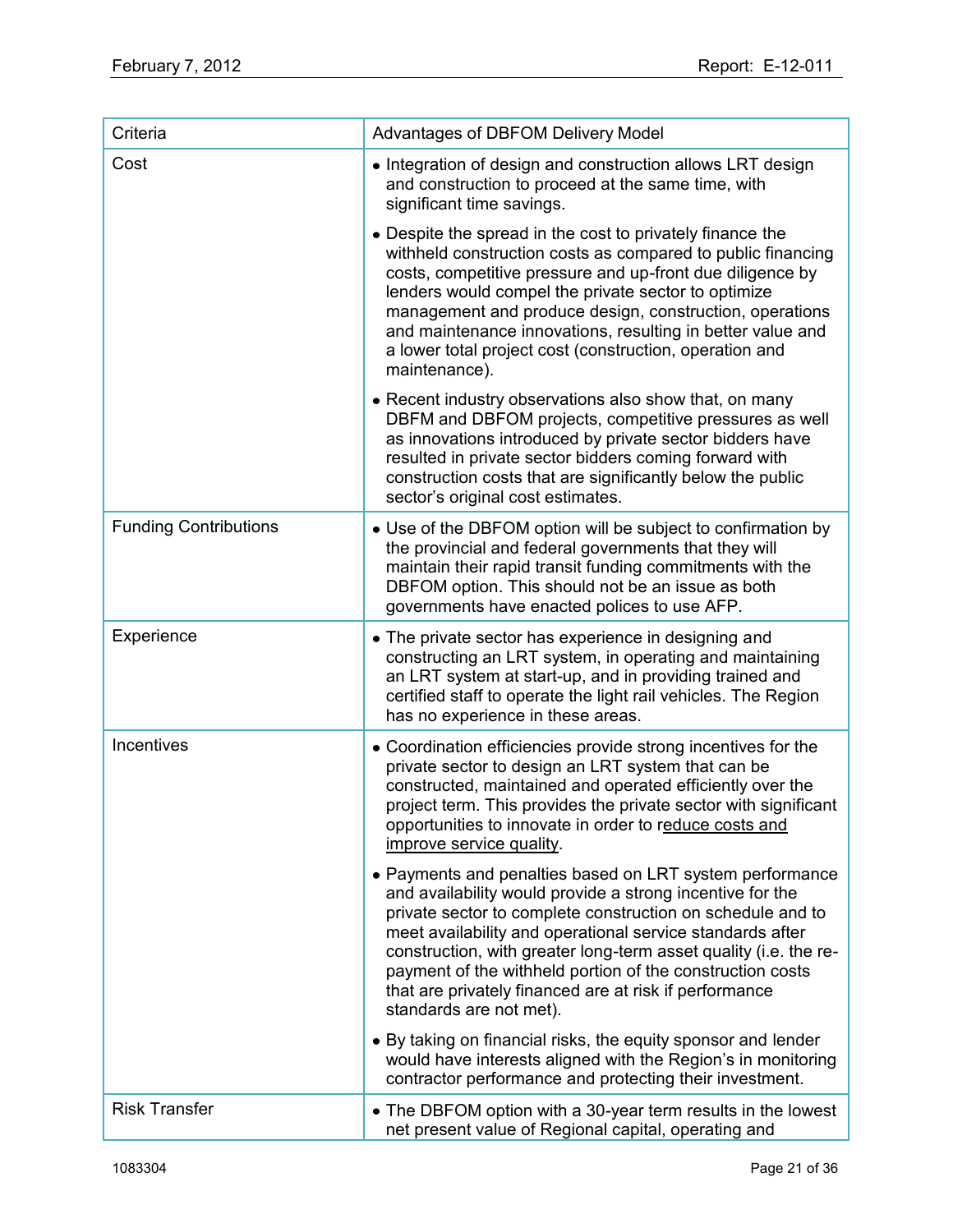| Criteria                     | <b>Advantages of DBFOM Delivery Model</b>                                                                                                                                                                                                                                                                                                                                                                                                                              |
|------------------------------|------------------------------------------------------------------------------------------------------------------------------------------------------------------------------------------------------------------------------------------------------------------------------------------------------------------------------------------------------------------------------------------------------------------------------------------------------------------------|
| Cost                         | • Integration of design and construction allows LRT design<br>and construction to proceed at the same time, with<br>significant time savings.                                                                                                                                                                                                                                                                                                                          |
|                              | • Despite the spread in the cost to privately finance the<br>withheld construction costs as compared to public financing<br>costs, competitive pressure and up-front due diligence by<br>lenders would compel the private sector to optimize<br>management and produce design, construction, operations<br>and maintenance innovations, resulting in better value and<br>a lower total project cost (construction, operation and<br>maintenance).                      |
|                              | • Recent industry observations also show that, on many<br>DBFM and DBFOM projects, competitive pressures as well<br>as innovations introduced by private sector bidders have<br>resulted in private sector bidders coming forward with<br>construction costs that are significantly below the public<br>sector's original cost estimates.                                                                                                                              |
| <b>Funding Contributions</b> | • Use of the DBFOM option will be subject to confirmation by<br>the provincial and federal governments that they will<br>maintain their rapid transit funding commitments with the<br>DBFOM option. This should not be an issue as both<br>governments have enacted polices to use AFP.                                                                                                                                                                                |
| Experience                   | • The private sector has experience in designing and<br>constructing an LRT system, in operating and maintaining<br>an LRT system at start-up, and in providing trained and<br>certified staff to operate the light rail vehicles. The Region<br>has no experience in these areas.                                                                                                                                                                                     |
| Incentives                   | • Coordination efficiencies provide strong incentives for the<br>private sector to design an LRT system that can be<br>constructed, maintained and operated efficiently over the<br>project term. This provides the private sector with significant<br>opportunities to innovate in order to reduce costs and<br>improve service quality.                                                                                                                              |
|                              | • Payments and penalties based on LRT system performance<br>and availability would provide a strong incentive for the<br>private sector to complete construction on schedule and to<br>meet availability and operational service standards after<br>construction, with greater long-term asset quality (i.e. the re-<br>payment of the withheld portion of the construction costs<br>that are privately financed are at risk if performance<br>standards are not met). |
|                              | • By taking on financial risks, the equity sponsor and lender<br>would have interests aligned with the Region's in monitoring<br>contractor performance and protecting their investment.                                                                                                                                                                                                                                                                               |
| <b>Risk Transfer</b>         | • The DBFOM option with a 30-year term results in the lowest<br>net present value of Regional capital, operating and                                                                                                                                                                                                                                                                                                                                                   |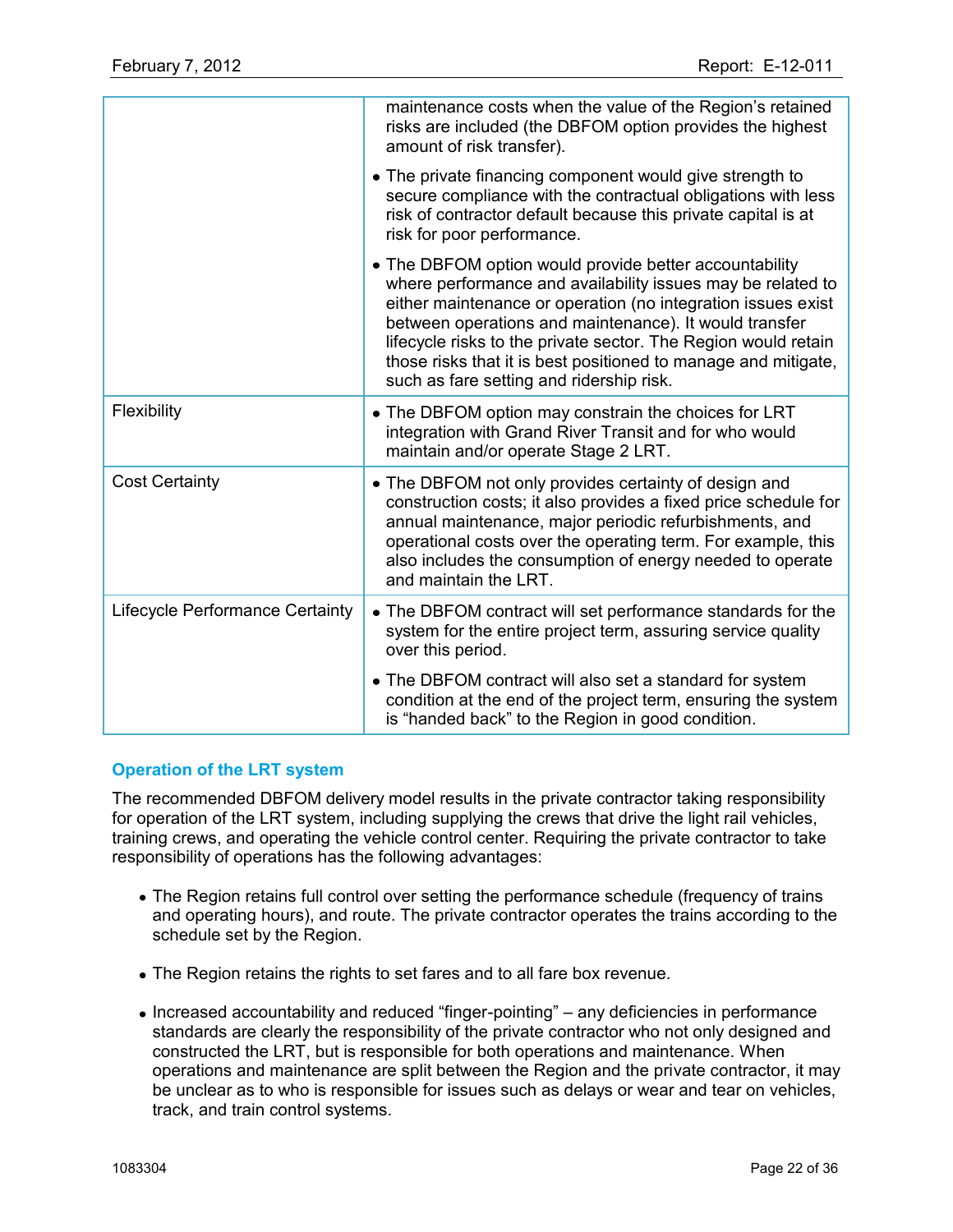|                                 | maintenance costs when the value of the Region's retained<br>risks are included (the DBFOM option provides the highest<br>amount of risk transfer).                                                                                                                                                                                                                                                                             |
|---------------------------------|---------------------------------------------------------------------------------------------------------------------------------------------------------------------------------------------------------------------------------------------------------------------------------------------------------------------------------------------------------------------------------------------------------------------------------|
|                                 | • The private financing component would give strength to<br>secure compliance with the contractual obligations with less<br>risk of contractor default because this private capital is at<br>risk for poor performance.                                                                                                                                                                                                         |
|                                 | • The DBFOM option would provide better accountability<br>where performance and availability issues may be related to<br>either maintenance or operation (no integration issues exist<br>between operations and maintenance). It would transfer<br>lifecycle risks to the private sector. The Region would retain<br>those risks that it is best positioned to manage and mitigate,<br>such as fare setting and ridership risk. |
| Flexibility                     | • The DBFOM option may constrain the choices for LRT<br>integration with Grand River Transit and for who would<br>maintain and/or operate Stage 2 LRT.                                                                                                                                                                                                                                                                          |
| <b>Cost Certainty</b>           | • The DBFOM not only provides certainty of design and<br>construction costs; it also provides a fixed price schedule for<br>annual maintenance, major periodic refurbishments, and<br>operational costs over the operating term. For example, this<br>also includes the consumption of energy needed to operate<br>and maintain the LRT.                                                                                        |
| Lifecycle Performance Certainty | • The DBFOM contract will set performance standards for the<br>system for the entire project term, assuring service quality<br>over this period.                                                                                                                                                                                                                                                                                |
|                                 | • The DBFOM contract will also set a standard for system<br>condition at the end of the project term, ensuring the system<br>is "handed back" to the Region in good condition.                                                                                                                                                                                                                                                  |

# **Operation of the LRT system**

The recommended DBFOM delivery model results in the private contractor taking responsibility for operation of the LRT system, including supplying the crews that drive the light rail vehicles, training crews, and operating the vehicle control center. Requiring the private contractor to take responsibility of operations has the following advantages:

- The Region retains full control over setting the performance schedule (frequency of trains and operating hours), and route. The private contractor operates the trains according to the schedule set by the Region.
- The Region retains the rights to set fares and to all fare box revenue.
- Increased accountability and reduced "finger-pointing" any deficiencies in performance standards are clearly the responsibility of the private contractor who not only designed and constructed the LRT, but is responsible for both operations and maintenance. When operations and maintenance are split between the Region and the private contractor, it may be unclear as to who is responsible for issues such as delays or wear and tear on vehicles, track, and train control systems.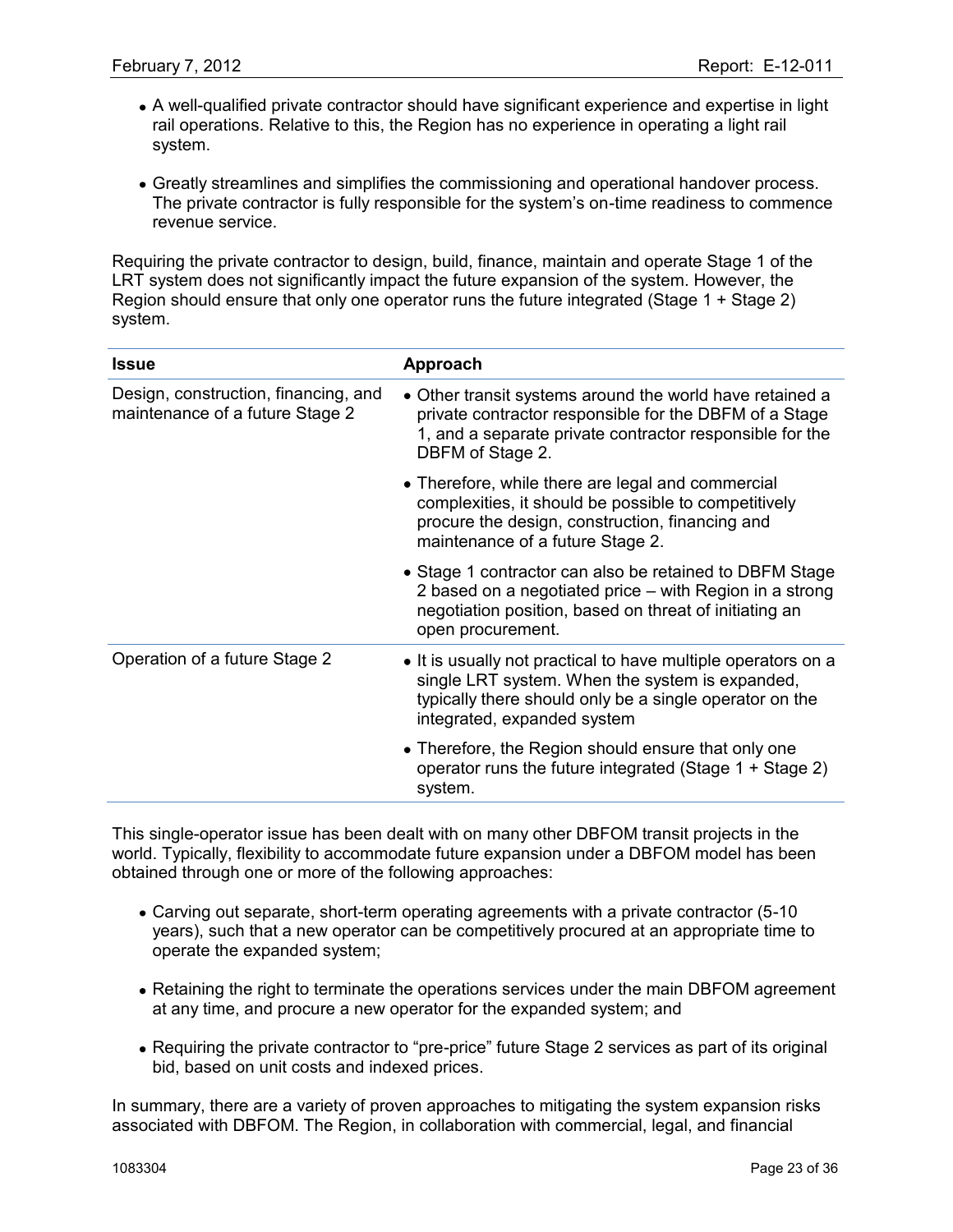- A well-qualified private contractor should have significant experience and expertise in light rail operations. Relative to this, the Region has no experience in operating a light rail system.
- Greatly streamlines and simplifies the commissioning and operational handover process. The private contractor is fully responsible for the system"s on-time readiness to commence revenue service.

Requiring the private contractor to design, build, finance, maintain and operate Stage 1 of the LRT system does not significantly impact the future expansion of the system. However, the Region should ensure that only one operator runs the future integrated (Stage 1 + Stage 2) system.

| <b>Issue</b>                                                            | Approach                                                                                                                                                                                                   |
|-------------------------------------------------------------------------|------------------------------------------------------------------------------------------------------------------------------------------------------------------------------------------------------------|
| Design, construction, financing, and<br>maintenance of a future Stage 2 | • Other transit systems around the world have retained a<br>private contractor responsible for the DBFM of a Stage<br>1, and a separate private contractor responsible for the<br>DBFM of Stage 2.         |
|                                                                         | • Therefore, while there are legal and commercial<br>complexities, it should be possible to competitively<br>procure the design, construction, financing and<br>maintenance of a future Stage 2.           |
|                                                                         | • Stage 1 contractor can also be retained to DBFM Stage<br>2 based on a negotiated price – with Region in a strong<br>negotiation position, based on threat of initiating an<br>open procurement.          |
| Operation of a future Stage 2                                           | • It is usually not practical to have multiple operators on a<br>single LRT system. When the system is expanded,<br>typically there should only be a single operator on the<br>integrated, expanded system |
|                                                                         | • Therefore, the Region should ensure that only one<br>operator runs the future integrated (Stage $1 +$ Stage 2)<br>system.                                                                                |

This single-operator issue has been dealt with on many other DBFOM transit projects in the world. Typically, flexibility to accommodate future expansion under a DBFOM model has been obtained through one or more of the following approaches:

- Carving out separate, short-term operating agreements with a private contractor (5-10 years), such that a new operator can be competitively procured at an appropriate time to operate the expanded system;
- Retaining the right to terminate the operations services under the main DBFOM agreement at any time, and procure a new operator for the expanded system; and
- Requiring the private contractor to "pre-price" future Stage 2 services as part of its original bid, based on unit costs and indexed prices.

In summary, there are a variety of proven approaches to mitigating the system expansion risks associated with DBFOM. The Region, in collaboration with commercial, legal, and financial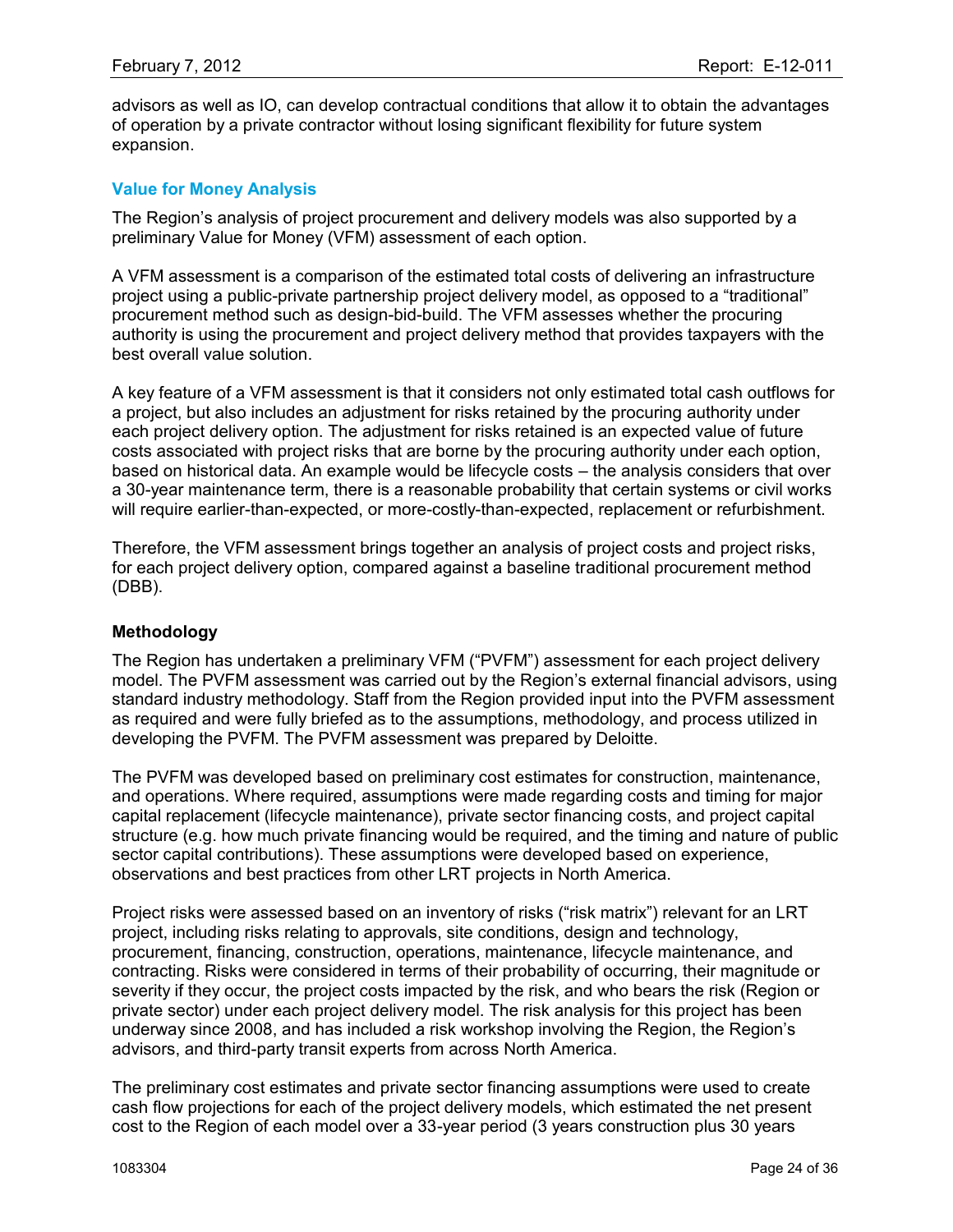advisors as well as IO, can develop contractual conditions that allow it to obtain the advantages of operation by a private contractor without losing significant flexibility for future system expansion.

#### **Value for Money Analysis**

The Region"s analysis of project procurement and delivery models was also supported by a preliminary Value for Money (VFM) assessment of each option.

A VFM assessment is a comparison of the estimated total costs of delivering an infrastructure project using a public-private partnership project delivery model, as opposed to a "traditional" procurement method such as design-bid-build. The VFM assesses whether the procuring authority is using the procurement and project delivery method that provides taxpayers with the best overall value solution.

A key feature of a VFM assessment is that it considers not only estimated total cash outflows for a project, but also includes an adjustment for risks retained by the procuring authority under each project delivery option. The adjustment for risks retained is an expected value of future costs associated with project risks that are borne by the procuring authority under each option, based on historical data. An example would be lifecycle costs – the analysis considers that over a 30-year maintenance term, there is a reasonable probability that certain systems or civil works will require earlier-than-expected, or more-costly-than-expected, replacement or refurbishment.

Therefore, the VFM assessment brings together an analysis of project costs and project risks, for each project delivery option, compared against a baseline traditional procurement method (DBB).

#### **Methodology**

The Region has undertaken a preliminary VFM ("PVFM") assessment for each project delivery model. The PVFM assessment was carried out by the Region's external financial advisors, using standard industry methodology. Staff from the Region provided input into the PVFM assessment as required and were fully briefed as to the assumptions, methodology, and process utilized in developing the PVFM. The PVFM assessment was prepared by Deloitte.

The PVFM was developed based on preliminary cost estimates for construction, maintenance, and operations. Where required, assumptions were made regarding costs and timing for major capital replacement (lifecycle maintenance), private sector financing costs, and project capital structure (e.g. how much private financing would be required, and the timing and nature of public sector capital contributions). These assumptions were developed based on experience, observations and best practices from other LRT projects in North America.

Project risks were assessed based on an inventory of risks ("risk matrix") relevant for an LRT project, including risks relating to approvals, site conditions, design and technology, procurement, financing, construction, operations, maintenance, lifecycle maintenance, and contracting. Risks were considered in terms of their probability of occurring, their magnitude or severity if they occur, the project costs impacted by the risk, and who bears the risk (Region or private sector) under each project delivery model. The risk analysis for this project has been underway since 2008, and has included a risk workshop involving the Region, the Region"s advisors, and third-party transit experts from across North America.

The preliminary cost estimates and private sector financing assumptions were used to create cash flow projections for each of the project delivery models, which estimated the net present cost to the Region of each model over a 33-year period (3 years construction plus 30 years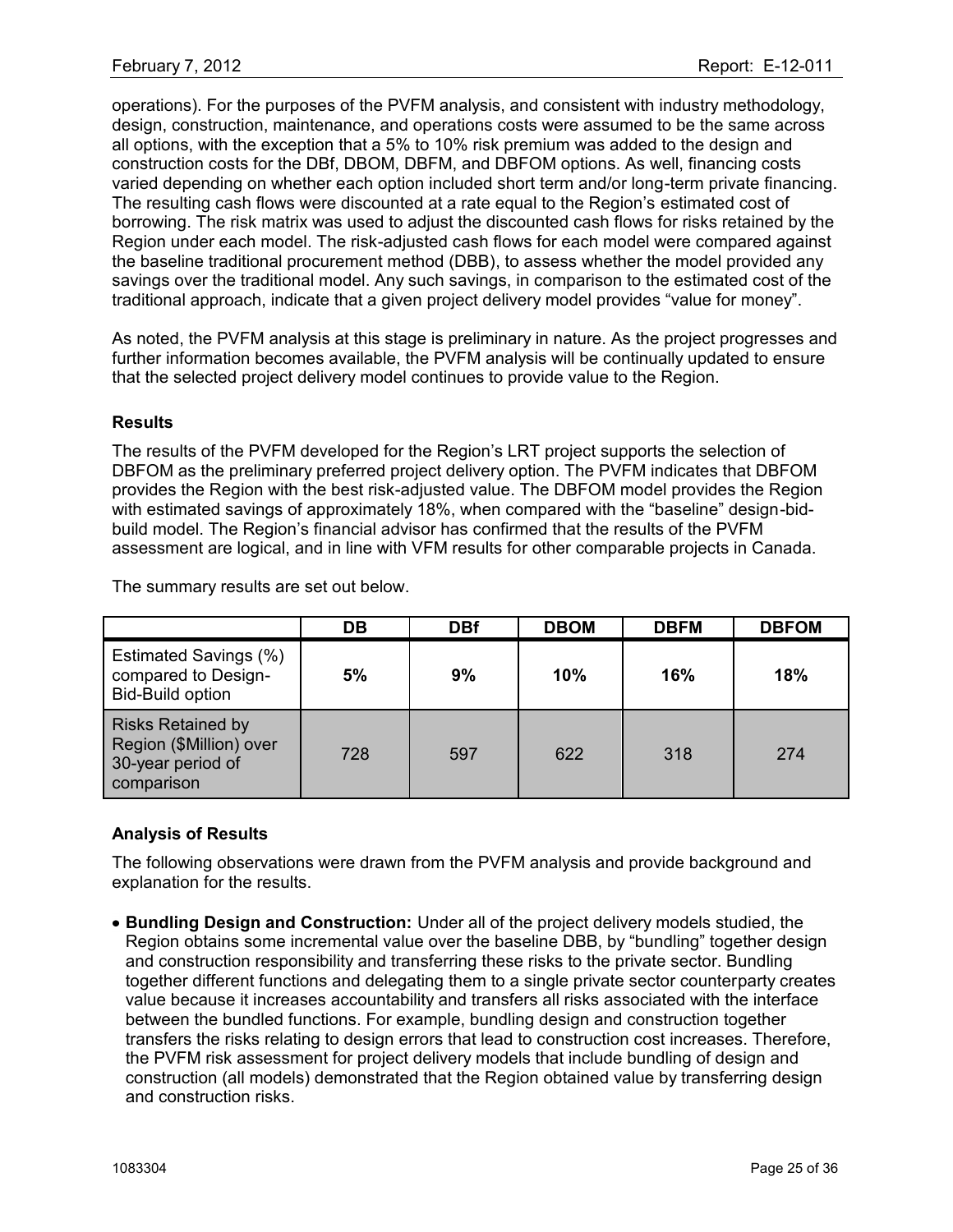operations). For the purposes of the PVFM analysis, and consistent with industry methodology, design, construction, maintenance, and operations costs were assumed to be the same across all options, with the exception that a 5% to 10% risk premium was added to the design and construction costs for the DBf, DBOM, DBFM, and DBFOM options. As well, financing costs varied depending on whether each option included short term and/or long-term private financing. The resulting cash flows were discounted at a rate equal to the Region's estimated cost of borrowing. The risk matrix was used to adjust the discounted cash flows for risks retained by the Region under each model. The risk-adjusted cash flows for each model were compared against the baseline traditional procurement method (DBB), to assess whether the model provided any savings over the traditional model. Any such savings, in comparison to the estimated cost of the traditional approach, indicate that a given project delivery model provides "value for money".

As noted, the PVFM analysis at this stage is preliminary in nature. As the project progresses and further information becomes available, the PVFM analysis will be continually updated to ensure that the selected project delivery model continues to provide value to the Region.

### **Results**

The results of the PVFM developed for the Region"s LRT project supports the selection of DBFOM as the preliminary preferred project delivery option. The PVFM indicates that DBFOM provides the Region with the best risk-adjusted value. The DBFOM model provides the Region with estimated savings of approximately 18%, when compared with the "baseline" design-bidbuild model. The Region"s financial advisor has confirmed that the results of the PVFM assessment are logical, and in line with VFM results for other comparable projects in Canada.

The summary results are set out below.

|                                                                                        | DB  | <b>DBf</b> | <b>DBOM</b> | <b>DBFM</b> | <b>DBFOM</b> |
|----------------------------------------------------------------------------------------|-----|------------|-------------|-------------|--------------|
| Estimated Savings (%)<br>compared to Design-<br><b>Bid-Build option</b>                | 5%  | 9%         | 10%         | 16%         | 18%          |
| <b>Risks Retained by</b><br>Region (\$Million) over<br>30-year period of<br>comparison | 728 | 597        | 622         | 318         | 274          |

### **Analysis of Results**

The following observations were drawn from the PVFM analysis and provide background and explanation for the results.

**Bundling Design and Construction:** Under all of the project delivery models studied, the Region obtains some incremental value over the baseline DBB, by "bundling" together design and construction responsibility and transferring these risks to the private sector. Bundling together different functions and delegating them to a single private sector counterparty creates value because it increases accountability and transfers all risks associated with the interface between the bundled functions. For example, bundling design and construction together transfers the risks relating to design errors that lead to construction cost increases. Therefore, the PVFM risk assessment for project delivery models that include bundling of design and construction (all models) demonstrated that the Region obtained value by transferring design and construction risks.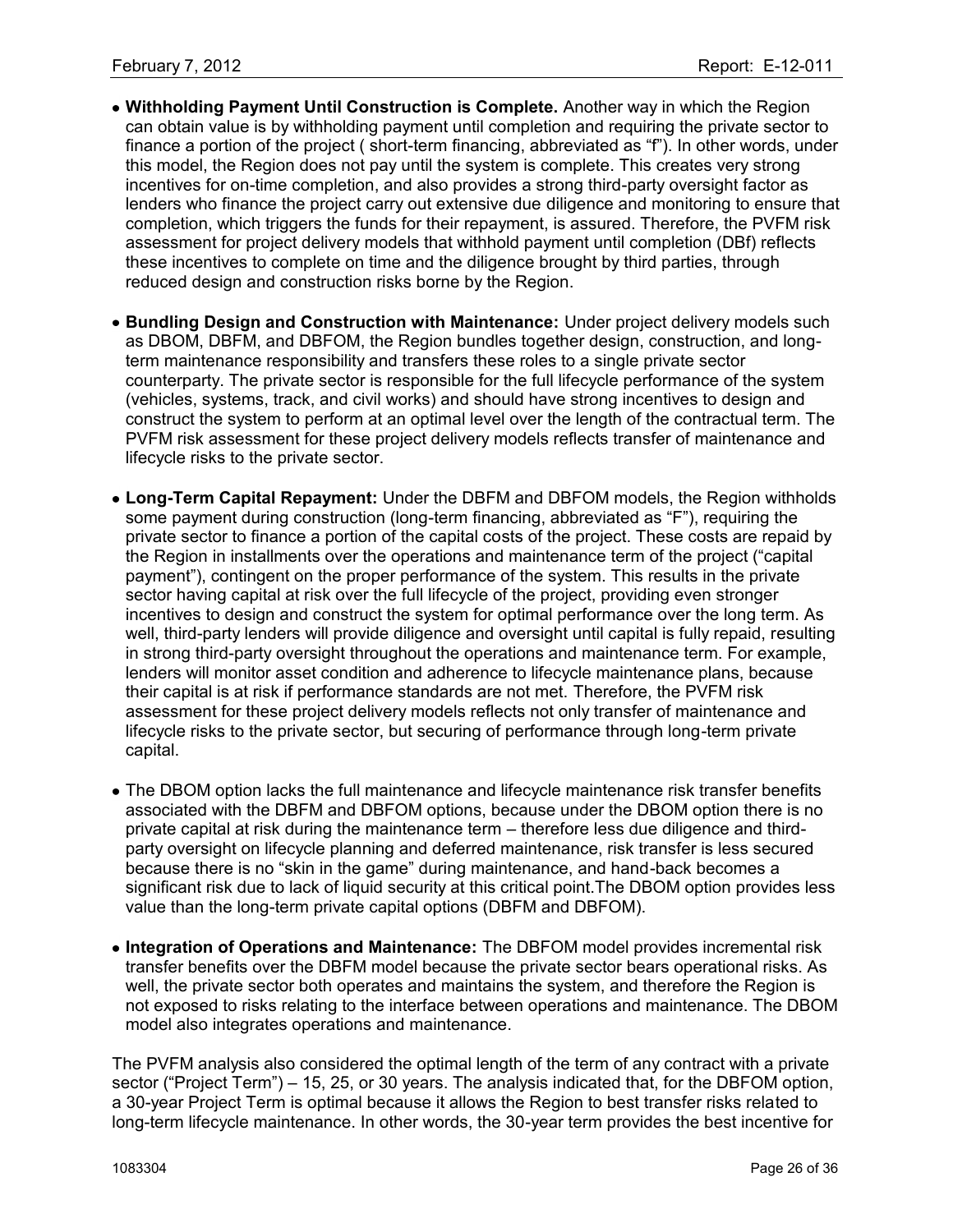- **Withholding Payment Until Construction is Complete.** Another way in which the Region can obtain value is by withholding payment until completion and requiring the private sector to finance a portion of the project ( short-term financing, abbreviated as "f"). In other words, under this model, the Region does not pay until the system is complete. This creates very strong incentives for on-time completion, and also provides a strong third-party oversight factor as lenders who finance the project carry out extensive due diligence and monitoring to ensure that completion, which triggers the funds for their repayment, is assured. Therefore, the PVFM risk assessment for project delivery models that withhold payment until completion (DBf) reflects these incentives to complete on time and the diligence brought by third parties, through reduced design and construction risks borne by the Region.
- **Bundling Design and Construction with Maintenance:** Under project delivery models such as DBOM, DBFM, and DBFOM, the Region bundles together design, construction, and longterm maintenance responsibility and transfers these roles to a single private sector counterparty. The private sector is responsible for the full lifecycle performance of the system (vehicles, systems, track, and civil works) and should have strong incentives to design and construct the system to perform at an optimal level over the length of the contractual term. The PVFM risk assessment for these project delivery models reflects transfer of maintenance and lifecycle risks to the private sector.
- **Long-Term Capital Repayment:** Under the DBFM and DBFOM models, the Region withholds some payment during construction (long-term financing, abbreviated as "F"), requiring the private sector to finance a portion of the capital costs of the project. These costs are repaid by the Region in installments over the operations and maintenance term of the project ("capital payment"), contingent on the proper performance of the system. This results in the private sector having capital at risk over the full lifecycle of the project, providing even stronger incentives to design and construct the system for optimal performance over the long term. As well, third-party lenders will provide diligence and oversight until capital is fully repaid, resulting in strong third-party oversight throughout the operations and maintenance term. For example, lenders will monitor asset condition and adherence to lifecycle maintenance plans, because their capital is at risk if performance standards are not met. Therefore, the PVFM risk assessment for these project delivery models reflects not only transfer of maintenance and lifecycle risks to the private sector, but securing of performance through long-term private capital.
- The DBOM option lacks the full maintenance and lifecycle maintenance risk transfer benefits associated with the DBFM and DBFOM options, because under the DBOM option there is no private capital at risk during the maintenance term – therefore less due diligence and thirdparty oversight on lifecycle planning and deferred maintenance, risk transfer is less secured because there is no "skin in the game" during maintenance, and hand-back becomes a significant risk due to lack of liquid security at this critical point.The DBOM option provides less value than the long-term private capital options (DBFM and DBFOM).
- **Integration of Operations and Maintenance:** The DBFOM model provides incremental risk transfer benefits over the DBFM model because the private sector bears operational risks. As well, the private sector both operates and maintains the system, and therefore the Region is not exposed to risks relating to the interface between operations and maintenance. The DBOM model also integrates operations and maintenance.

The PVFM analysis also considered the optimal length of the term of any contract with a private sector ("Project Term") – 15, 25, or 30 years. The analysis indicated that, for the DBFOM option, a 30-year Project Term is optimal because it allows the Region to best transfer risks related to long-term lifecycle maintenance. In other words, the 30-year term provides the best incentive for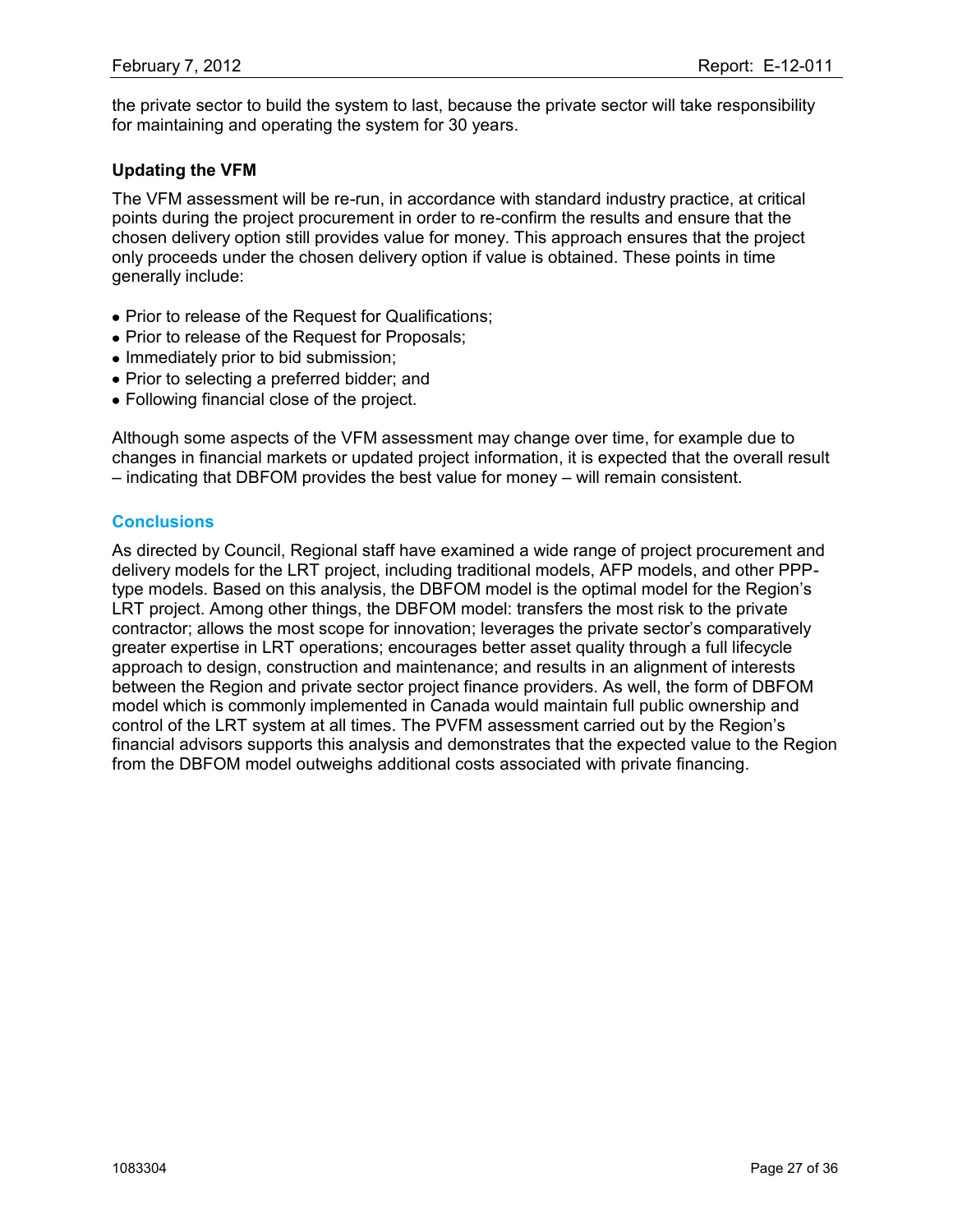the private sector to build the system to last, because the private sector will take responsibility for maintaining and operating the system for 30 years.

## **Updating the VFM**

The VFM assessment will be re-run, in accordance with standard industry practice, at critical points during the project procurement in order to re-confirm the results and ensure that the chosen delivery option still provides value for money. This approach ensures that the project only proceeds under the chosen delivery option if value is obtained. These points in time generally include:

- Prior to release of the Request for Qualifications;
- Prior to release of the Request for Proposals;
- Immediately prior to bid submission;
- Prior to selecting a preferred bidder; and
- Following financial close of the project.

Although some aspects of the VFM assessment may change over time, for example due to changes in financial markets or updated project information, it is expected that the overall result – indicating that DBFOM provides the best value for money – will remain consistent.

### **Conclusions**

As directed by Council, Regional staff have examined a wide range of project procurement and delivery models for the LRT project, including traditional models, AFP models, and other PPPtype models. Based on this analysis, the DBFOM model is the optimal model for the Region"s LRT project. Among other things, the DBFOM model: transfers the most risk to the private contractor; allows the most scope for innovation; leverages the private sector"s comparatively greater expertise in LRT operations; encourages better asset quality through a full lifecycle approach to design, construction and maintenance; and results in an alignment of interests between the Region and private sector project finance providers. As well, the form of DBFOM model which is commonly implemented in Canada would maintain full public ownership and control of the LRT system at all times. The PVFM assessment carried out by the Region"s financial advisors supports this analysis and demonstrates that the expected value to the Region from the DBFOM model outweighs additional costs associated with private financing.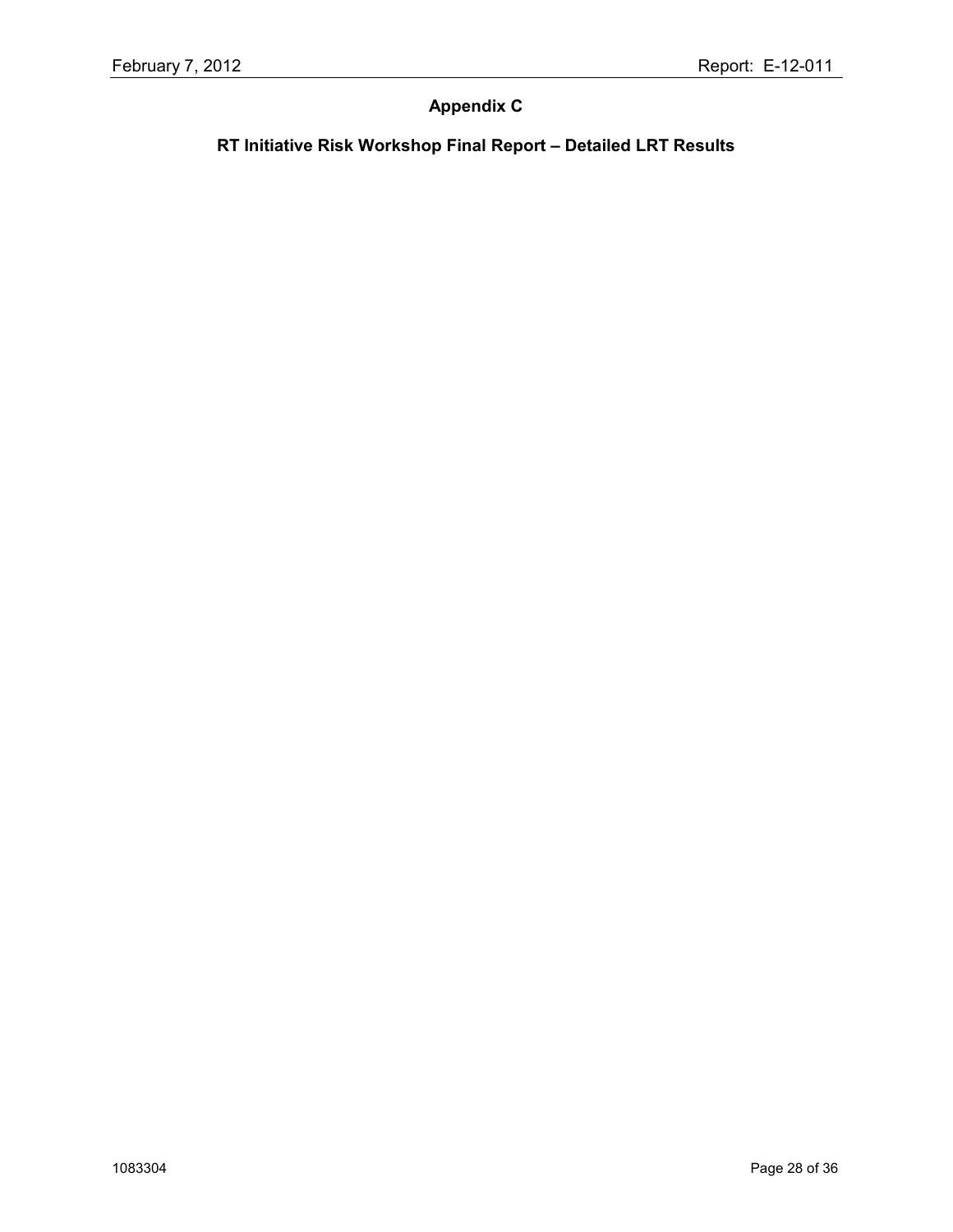# **Appendix C**

# **RT Initiative Risk Workshop Final Report – Detailed LRT Results**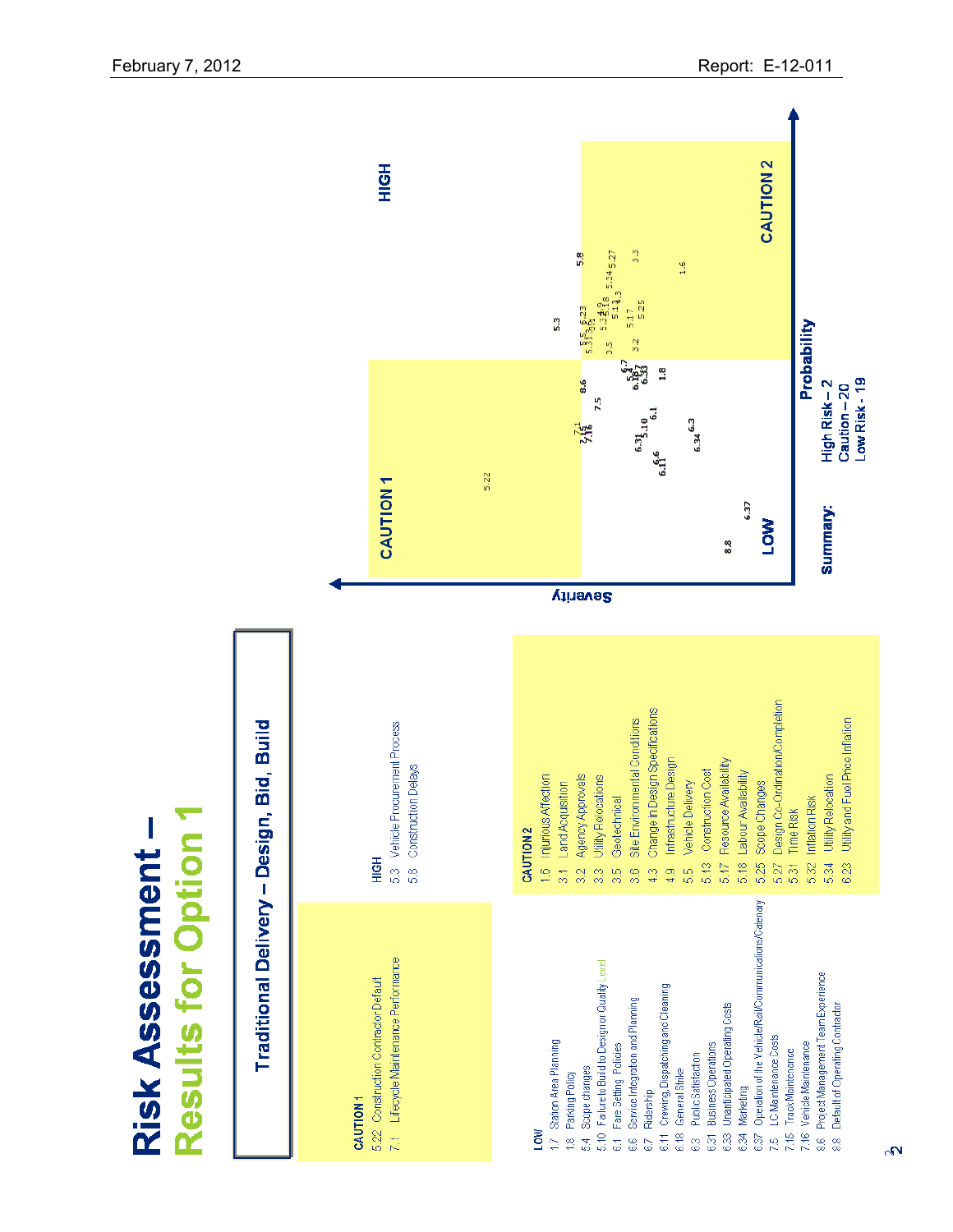

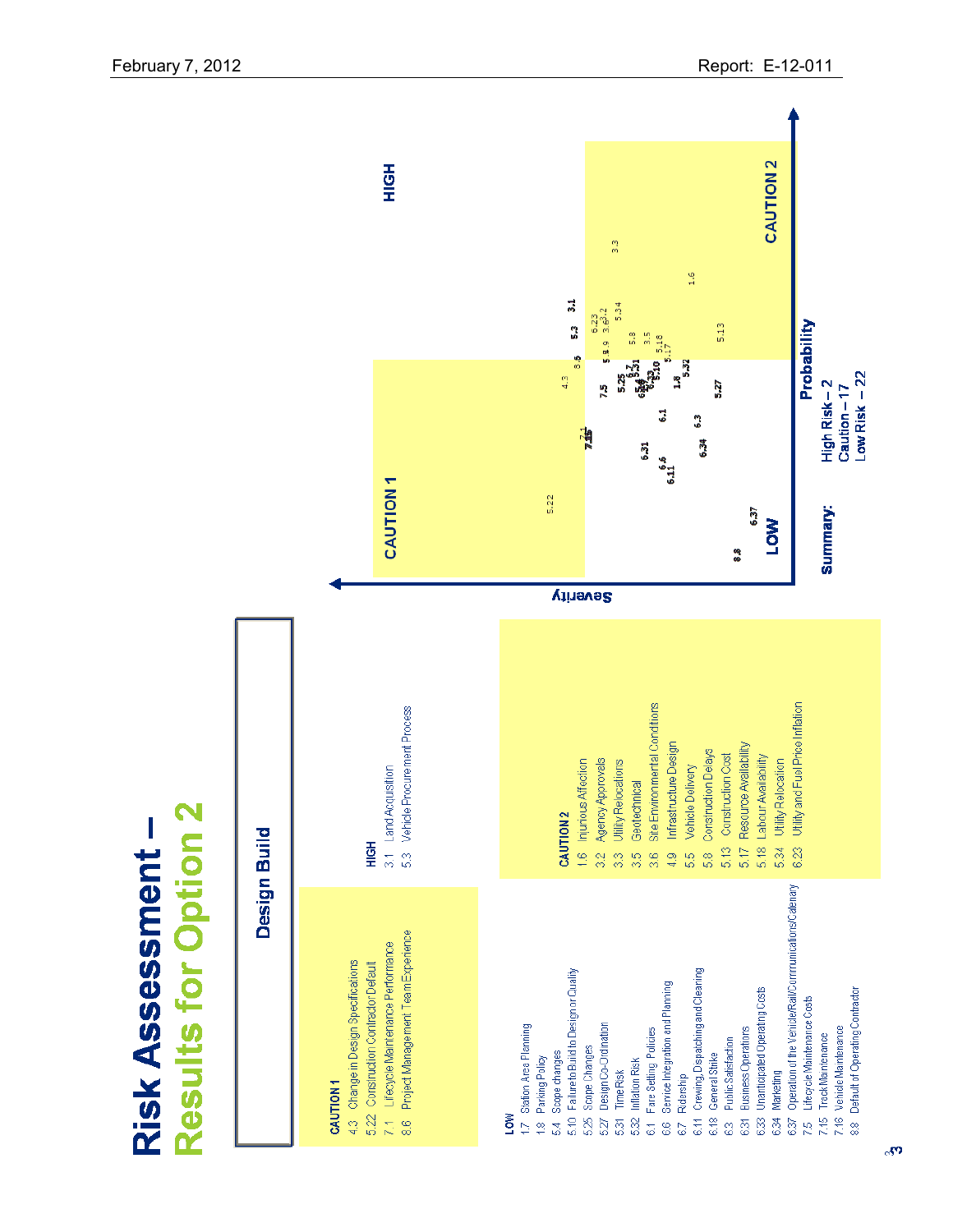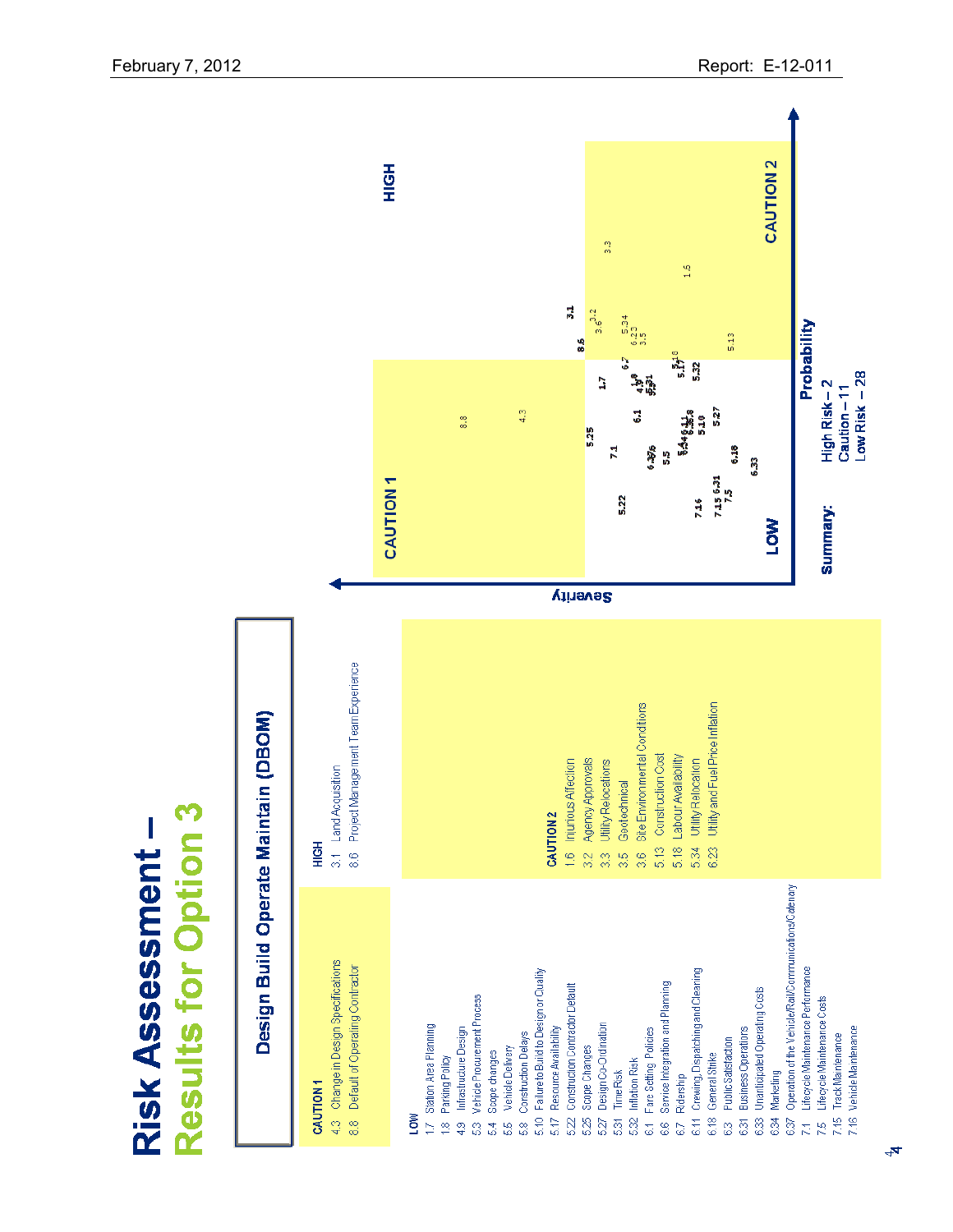

Results for Option 3

Risk Assessment –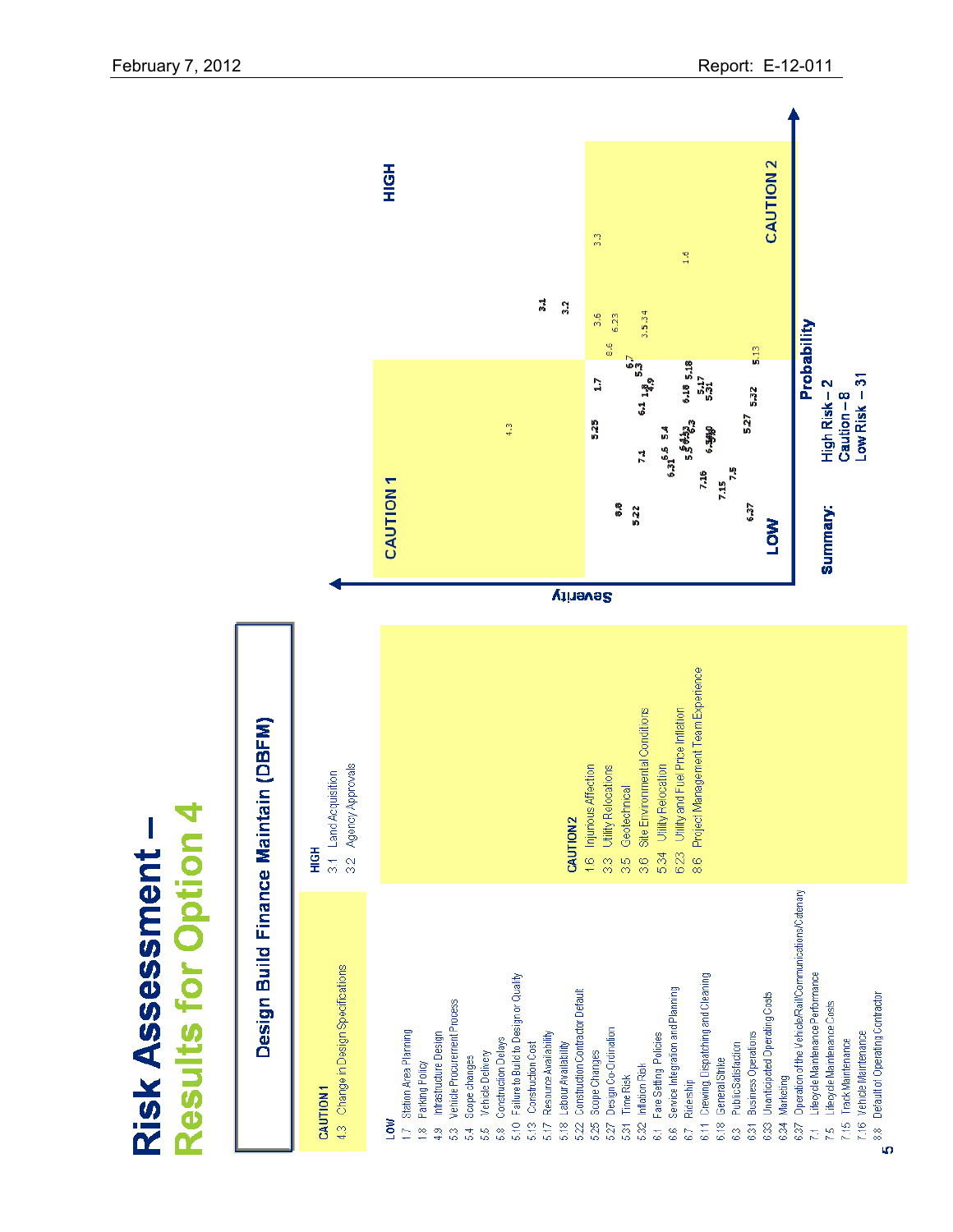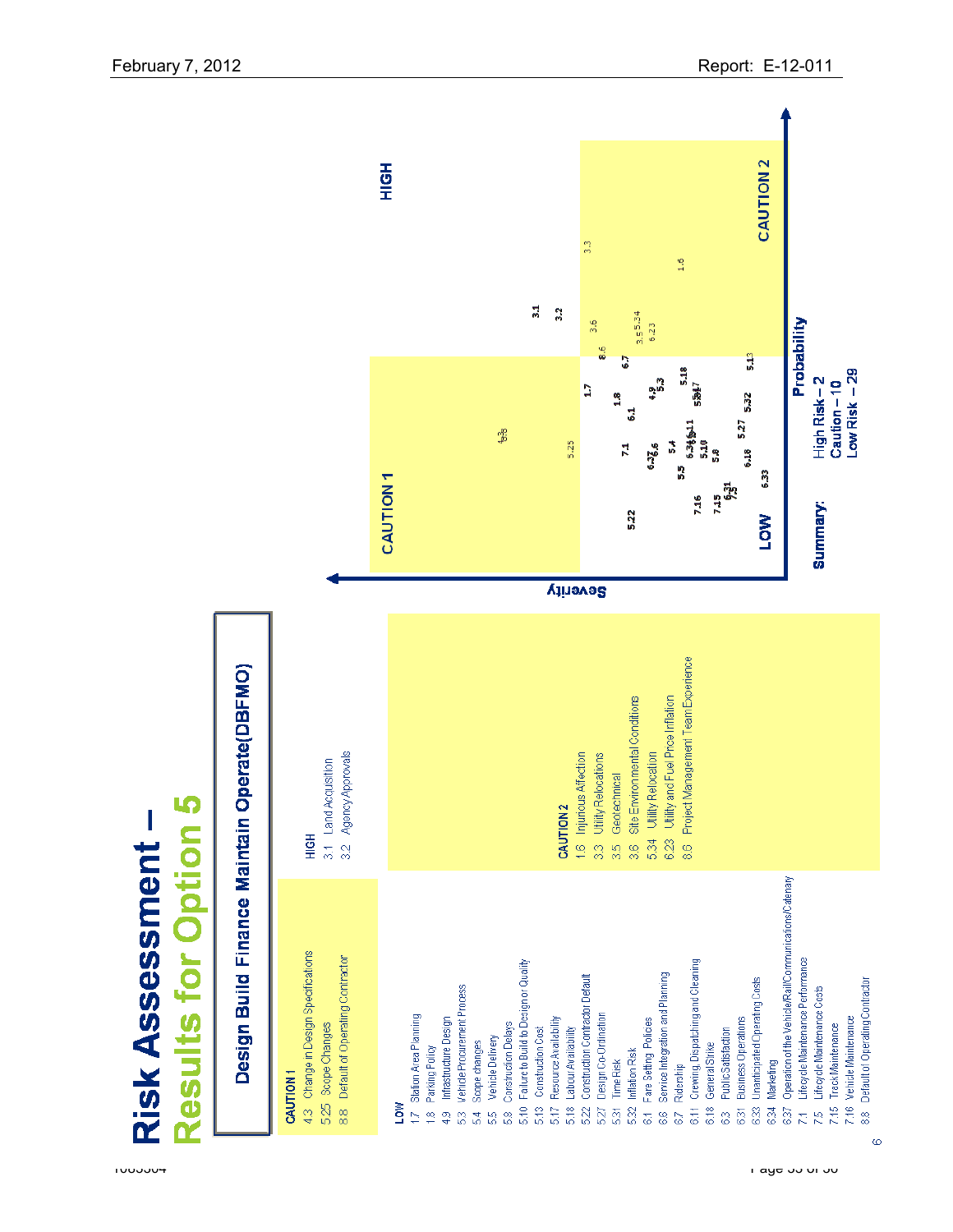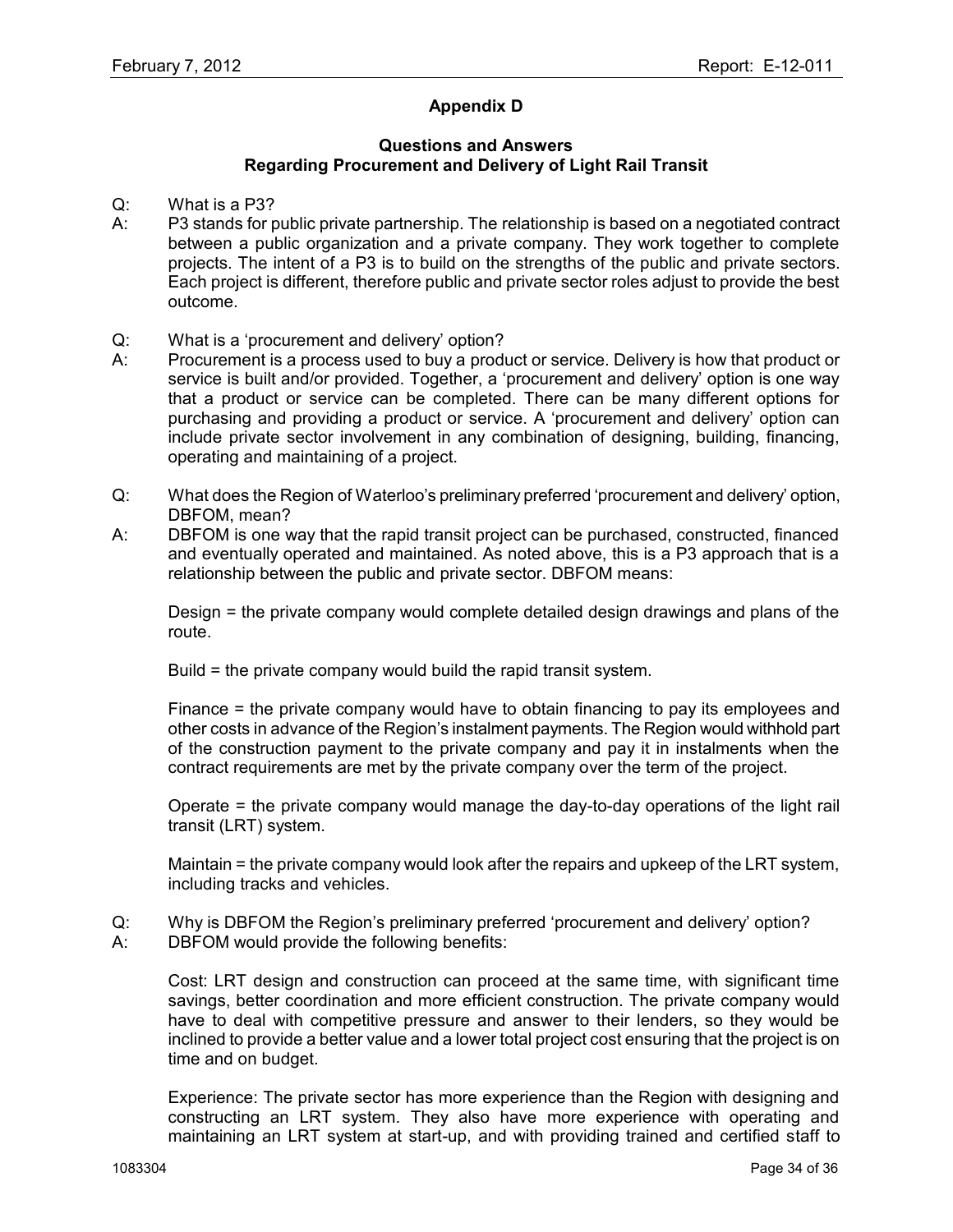# **Appendix D**

#### **Questions and Answers Regarding Procurement and Delivery of Light Rail Transit**

- Q: What is a P3?
- A: P3 stands for public private partnership. The relationship is based on a negotiated contract between a public organization and a private company. They work together to complete projects. The intent of a P3 is to build on the strengths of the public and private sectors. Each project is different, therefore public and private sector roles adjust to provide the best outcome.
- Q: What is a "procurement and delivery" option?
- A: Procurement is a process used to buy a product or service. Delivery is how that product or service is built and/or provided. Together, a 'procurement and delivery' option is one way that a product or service can be completed. There can be many different options for purchasing and providing a product or service. A "procurement and delivery" option can include private sector involvement in any combination of designing, building, financing, operating and maintaining of a project.
- Q: What does the Region of Waterloo"s preliminary preferred "procurement and delivery" option, DBFOM, mean?
- A: DBFOM is one way that the rapid transit project can be purchased, constructed, financed and eventually operated and maintained. As noted above, this is a P3 approach that is a relationship between the public and private sector. DBFOM means:

Design = the private company would complete detailed design drawings and plans of the route.

Build = the private company would build the rapid transit system.

Finance = the private company would have to obtain financing to pay its employees and other costs in advance of the Region"s instalment payments. The Region would withhold part of the construction payment to the private company and pay it in instalments when the contract requirements are met by the private company over the term of the project.

Operate = the private company would manage the day-to-day operations of the light rail transit (LRT) system.

Maintain = the private company would look after the repairs and upkeep of the LRT system, including tracks and vehicles.

- Q: Why is DBFOM the Region"s preliminary preferred "procurement and delivery" option?
- A: DBFOM would provide the following benefits:

Cost: LRT design and construction can proceed at the same time, with significant time savings, better coordination and more efficient construction. The private company would have to deal with competitive pressure and answer to their lenders, so they would be inclined to provide a better value and a lower total project cost ensuring that the project is on time and on budget.

Experience: The private sector has more experience than the Region with designing and constructing an LRT system. They also have more experience with operating and maintaining an LRT system at start-up, and with providing trained and certified staff to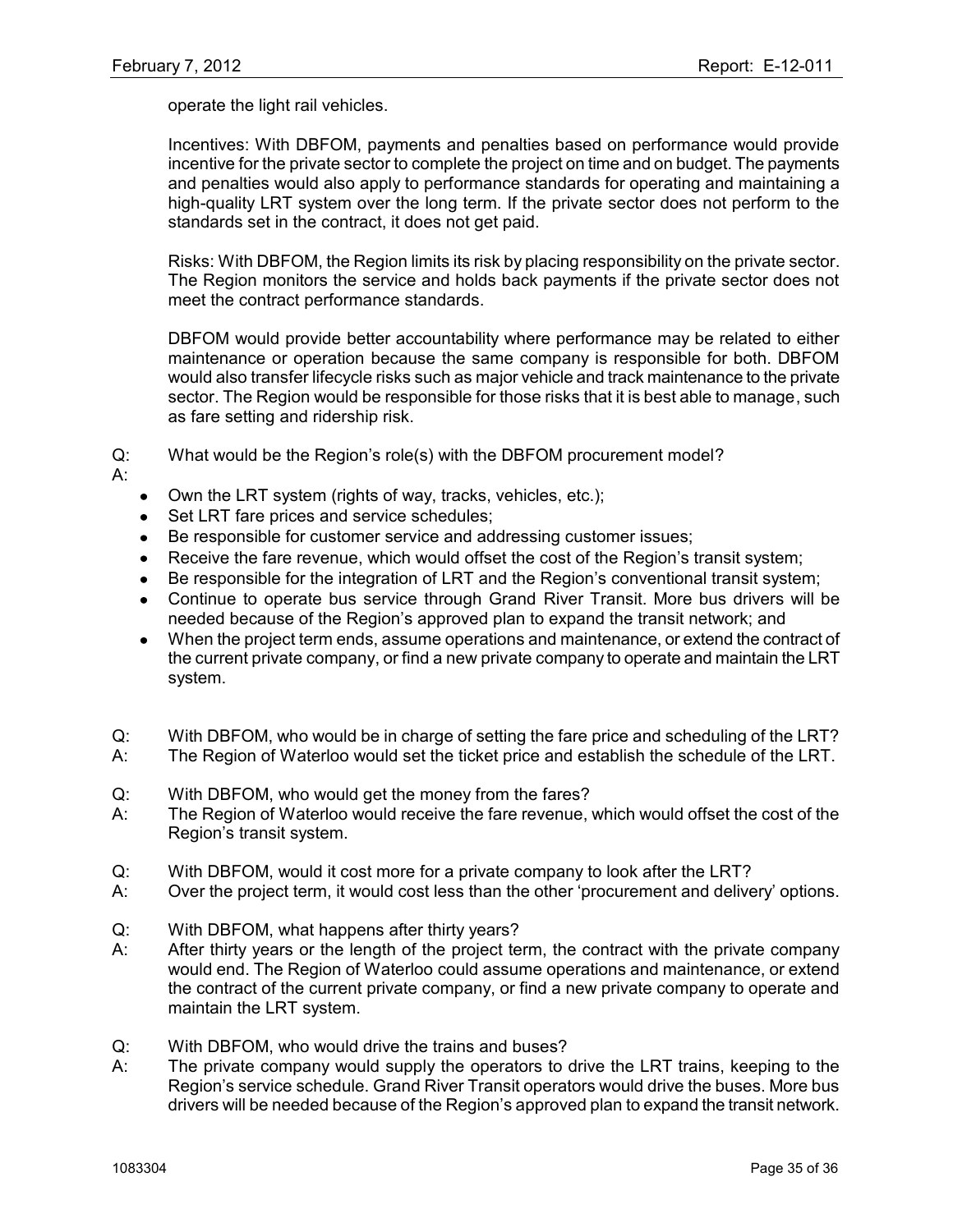operate the light rail vehicles.

Incentives: With DBFOM, payments and penalties based on performance would provide incentive for the private sector to complete the project on time and on budget. The payments and penalties would also apply to performance standards for operating and maintaining a high-quality LRT system over the long term. If the private sector does not perform to the standards set in the contract, it does not get paid.

Risks: With DBFOM, the Region limits its risk by placing responsibility on the private sector. The Region monitors the service and holds back payments if the private sector does not meet the contract performance standards.

DBFOM would provide better accountability where performance may be related to either maintenance or operation because the same company is responsible for both. DBFOM would also transfer lifecycle risks such as major vehicle and track maintenance to the private sector. The Region would be responsible for those risks that it is best able to manage, such as fare setting and ridership risk.

Q: What would be the Region"s role(s) with the DBFOM procurement model?

A:

- Own the LRT system (rights of way, tracks, vehicles, etc.);
- Set LRT fare prices and service schedules;
- Be responsible for customer service and addressing customer issues;  $\bullet$
- Receive the fare revenue, which would offset the cost of the Region's transit system;
- Be responsible for the integration of LRT and the Region's conventional transit system;
- Continue to operate bus service through Grand River Transit. More bus drivers will be needed because of the Region"s approved plan to expand the transit network; and
- When the project term ends, assume operations and maintenance, or extend the contract of  $\bullet$ the current private company, or find a new private company to operate and maintain the LRT system.
- Q: With DBFOM, who would be in charge of setting the fare price and scheduling of the LRT?
- A: The Region of Waterloo would set the ticket price and establish the schedule of the LRT.
- Q: With DBFOM, who would get the money from the fares?
- A: The Region of Waterloo would receive the fare revenue, which would offset the cost of the Region"s transit system.
- Q: With DBFOM, would it cost more for a private company to look after the LRT?
- A: Over the project term, it would cost less than the other "procurement and delivery" options.
- Q: With DBFOM, what happens after thirty years?
- A: After thirty years or the length of the project term, the contract with the private company would end. The Region of Waterloo could assume operations and maintenance, or extend the contract of the current private company, or find a new private company to operate and maintain the LRT system.
- Q: With DBFOM, who would drive the trains and buses?
- A: The private company would supply the operators to drive the LRT trains, keeping to the Region's service schedule. Grand River Transit operators would drive the buses. More bus drivers will be needed because of the Region"s approved plan to expand the transit network.